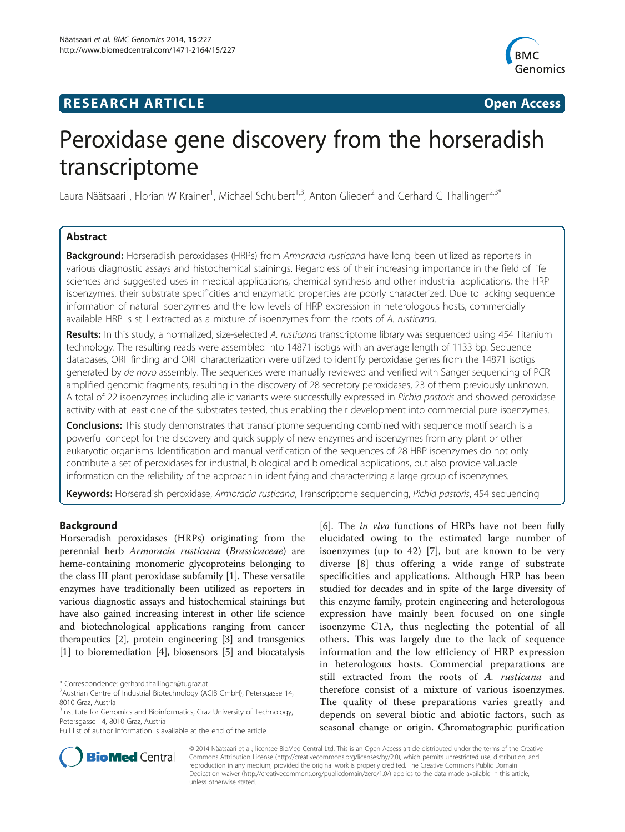# **RESEARCH ARTICLE Example 2014 CONSIDERING CONSIDERING CONSIDERING CONSIDERING CONSIDERING CONSIDERING CONSIDERING CONSIDERING CONSIDERING CONSIDERING CONSIDERING CONSIDERING CONSIDERING CONSIDERING CONSIDERING CONSIDE**



# Peroxidase gene discovery from the horseradish transcriptome

Laura Näätsaari<sup>1</sup>, Florian W Krainer<sup>1</sup>, Michael Schubert<sup>1,3</sup>, Anton Glieder<sup>2</sup> and Gerhard G Thallinger<sup>2,3\*</sup>

# Abstract

**Background:** Horseradish peroxidases (HRPs) from Armoracia rusticana have long been utilized as reporters in various diagnostic assays and histochemical stainings. Regardless of their increasing importance in the field of life sciences and suggested uses in medical applications, chemical synthesis and other industrial applications, the HRP isoenzymes, their substrate specificities and enzymatic properties are poorly characterized. Due to lacking sequence information of natural isoenzymes and the low levels of HRP expression in heterologous hosts, commercially available HRP is still extracted as a mixture of isoenzymes from the roots of A. rusticana.

Results: In this study, a normalized, size-selected A. rusticana transcriptome library was sequenced using 454 Titanium technology. The resulting reads were assembled into 14871 isotigs with an average length of 1133 bp. Sequence databases, ORF finding and ORF characterization were utilized to identify peroxidase genes from the 14871 isotigs generated by de novo assembly. The sequences were manually reviewed and verified with Sanger sequencing of PCR amplified genomic fragments, resulting in the discovery of 28 secretory peroxidases, 23 of them previously unknown. A total of 22 isoenzymes including allelic variants were successfully expressed in Pichia pastoris and showed peroxidase activity with at least one of the substrates tested, thus enabling their development into commercial pure isoenzymes.

**Conclusions:** This study demonstrates that transcriptome sequencing combined with sequence motif search is a powerful concept for the discovery and quick supply of new enzymes and isoenzymes from any plant or other eukaryotic organisms. Identification and manual verification of the sequences of 28 HRP isoenzymes do not only contribute a set of peroxidases for industrial, biological and biomedical applications, but also provide valuable information on the reliability of the approach in identifying and characterizing a large group of isoenzymes.

Keywords: Horseradish peroxidase, Armoracia rusticana, Transcriptome sequencing, Pichia pastoris, 454 sequencing

# Background

Horseradish peroxidases (HRPs) originating from the perennial herb Armoracia rusticana (Brassicaceae) are heme-containing monomeric glycoproteins belonging to the class III plant peroxidase subfamily [\[1](#page-13-0)]. These versatile enzymes have traditionally been utilized as reporters in various diagnostic assays and histochemical stainings but have also gained increasing interest in other life science and biotechnological applications ranging from cancer therapeutics [[2\]](#page-13-0), protein engineering [\[3](#page-13-0)] and transgenics [[1\]](#page-13-0) to bioremediation [[4](#page-13-0)], biosensors [[5](#page-13-0)] and biocatalysis

\* Correspondence: [gerhard.thallinger@tugraz.at](mailto:gerhard.thallinger@tugraz.at) <sup>2</sup>

[[6\]](#page-13-0). The in vivo functions of HRPs have not been fully elucidated owing to the estimated large number of isoenzymes (up to 42) [[7\]](#page-13-0), but are known to be very diverse [\[8](#page-13-0)] thus offering a wide range of substrate specificities and applications. Although HRP has been studied for decades and in spite of the large diversity of this enzyme family, protein engineering and heterologous expression have mainly been focused on one single isoenzyme C1A, thus neglecting the potential of all others. This was largely due to the lack of sequence information and the low efficiency of HRP expression in heterologous hosts. Commercial preparations are still extracted from the roots of A. rusticana and therefore consist of a mixture of various isoenzymes. The quality of these preparations varies greatly and depends on several biotic and abiotic factors, such as seasonal change or origin. Chromatographic purification



© 2014 Näätsaari et al.; licensee BioMed Central Ltd. This is an Open Access article distributed under the terms of the Creative Commons Attribution License [\(http://creativecommons.org/licenses/by/2.0\)](http://creativecommons.org/licenses/by/2.0), which permits unrestricted use, distribution, and reproduction in any medium, provided the original work is properly credited. The Creative Commons Public Domain Dedication waiver [\(http://creativecommons.org/publicdomain/zero/1.0/](http://creativecommons.org/publicdomain/zero/1.0/)) applies to the data made available in this article, unless otherwise stated.

<sup>&</sup>lt;sup>2</sup> Austrian Centre of Industrial Biotechnology (ACIB GmbH), Petersgasse 14, 8010 Graz, Austria

<sup>&</sup>lt;sup>3</sup>Institute for Genomics and Bioinformatics, Graz University of Technology, Petersgasse 14, 8010 Graz, Austria

Full list of author information is available at the end of the article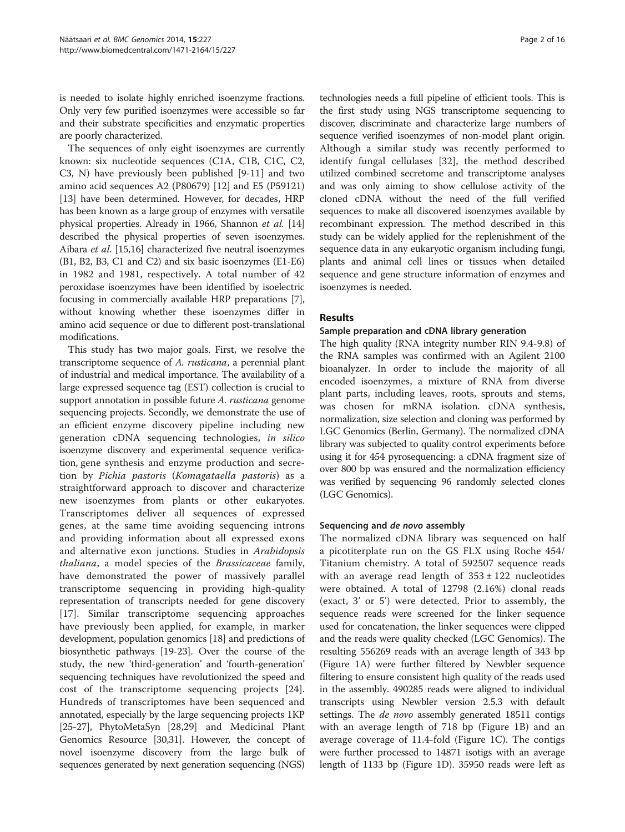is needed to isolate highly enriched isoenzyme fractions. Only very few purified isoenzymes were accessible so far and their substrate specificities and enzymatic properties are poorly characterized.

The sequences of only eight isoenzymes are currently known: six nucleotide sequences (C1A, C1B, C1C, C2, C3, N) have previously been published [[9-11](#page-13-0)] and two amino acid sequences A2 (P80679) [[12](#page-13-0)] and E5 (P59121) [[13\]](#page-13-0) have been determined. However, for decades, HRP has been known as a large group of enzymes with versatile physical properties. Already in 1966, Shannon et al. [[14](#page-13-0)] described the physical properties of seven isoenzymes. Aibara et al. [[15,16](#page-13-0)] characterized five neutral isoenzymes (B1, B2, B3, C1 and C2) and six basic isoenzymes (E1-E6) in 1982 and 1981, respectively. A total number of 42 peroxidase isoenzymes have been identified by isoelectric focusing in commercially available HRP preparations [[7](#page-13-0)], without knowing whether these isoenzymes differ in amino acid sequence or due to different post-translational modifications.

This study has two major goals. First, we resolve the transcriptome sequence of A. rusticana, a perennial plant of industrial and medical importance. The availability of a large expressed sequence tag (EST) collection is crucial to support annotation in possible future A. rusticana genome sequencing projects. Secondly, we demonstrate the use of an efficient enzyme discovery pipeline including new generation cDNA sequencing technologies, in silico isoenzyme discovery and experimental sequence verification, gene synthesis and enzyme production and secretion by Pichia pastoris (Komagataella pastoris) as a straightforward approach to discover and characterize new isoenzymes from plants or other eukaryotes. Transcriptomes deliver all sequences of expressed genes, at the same time avoiding sequencing introns and providing information about all expressed exons and alternative exon junctions. Studies in Arabidopsis thaliana, a model species of the Brassicaceae family, have demonstrated the power of massively parallel transcriptome sequencing in providing high-quality representation of transcripts needed for gene discovery [[17\]](#page-13-0). Similar transcriptome sequencing approaches have previously been applied, for example, in marker development, population genomics [[18](#page-13-0)] and predictions of biosynthetic pathways [[19-](#page-13-0)[23\]](#page-14-0). Over the course of the study, the new 'third-generation' and 'fourth-generation' sequencing techniques have revolutionized the speed and cost of the transcriptome sequencing projects [\[24](#page-14-0)]. Hundreds of transcriptomes have been sequenced and annotated, especially by the large sequencing projects 1KP [[25](#page-14-0)-[27\]](#page-14-0), PhytoMetaSyn [[28,29](#page-14-0)] and Medicinal Plant Genomics Resource [\[30,31\]](#page-14-0). However, the concept of novel isoenzyme discovery from the large bulk of sequences generated by next generation sequencing (NGS)

technologies needs a full pipeline of efficient tools. This is the first study using NGS transcriptome sequencing to discover, discriminate and characterize large numbers of sequence verified isoenzymes of non-model plant origin. Although a similar study was recently performed to identify fungal cellulases [\[32](#page-14-0)], the method described utilized combined secretome and transcriptome analyses and was only aiming to show cellulose activity of the cloned cDNA without the need of the full verified sequences to make all discovered isoenzymes available by recombinant expression. The method described in this study can be widely applied for the replenishment of the sequence data in any eukaryotic organism including fungi, plants and animal cell lines or tissues when detailed sequence and gene structure information of enzymes and isoenzymes is needed.

### Results

#### Sample preparation and cDNA library generation

The high quality (RNA integrity number RIN 9.4-9.8) of the RNA samples was confirmed with an Agilent 2100 bioanalyzer. In order to include the majority of all encoded isoenzymes, a mixture of RNA from diverse plant parts, including leaves, roots, sprouts and stems, was chosen for mRNA isolation. cDNA synthesis, normalization, size selection and cloning was performed by LGC Genomics (Berlin, Germany). The normalized cDNA library was subjected to quality control experiments before using it for 454 pyrosequencing: a cDNA fragment size of over 800 bp was ensured and the normalization efficiency was verified by sequencing 96 randomly selected clones (LGC Genomics).

#### Sequencing and de novo assembly

The normalized cDNA library was sequenced on half a picotiterplate run on the GS FLX using Roche 454/ Titanium chemistry. A total of 592507 sequence reads with an average read length of  $353 \pm 122$  nucleotides were obtained. A total of 12798 (2.16%) clonal reads (exact, 3' or 5') were detected. Prior to assembly, the sequence reads were screened for the linker sequence used for concatenation, the linker sequences were clipped and the reads were quality checked (LGC Genomics). The resulting 556269 reads with an average length of 343 bp (Figure [1](#page-2-0)A) were further filtered by Newbler sequence filtering to ensure consistent high quality of the reads used in the assembly. 490285 reads were aligned to individual transcripts using Newbler version 2.5.3 with default settings. The *de novo* assembly generated 18511 contigs with an average length of 718 bp (Figure [1](#page-2-0)B) and an average coverage of 11.4-fold (Figure [1C](#page-2-0)). The contigs were further processed to 14871 isotigs with an average length of 1133 bp (Figure [1D](#page-2-0)). 35950 reads were left as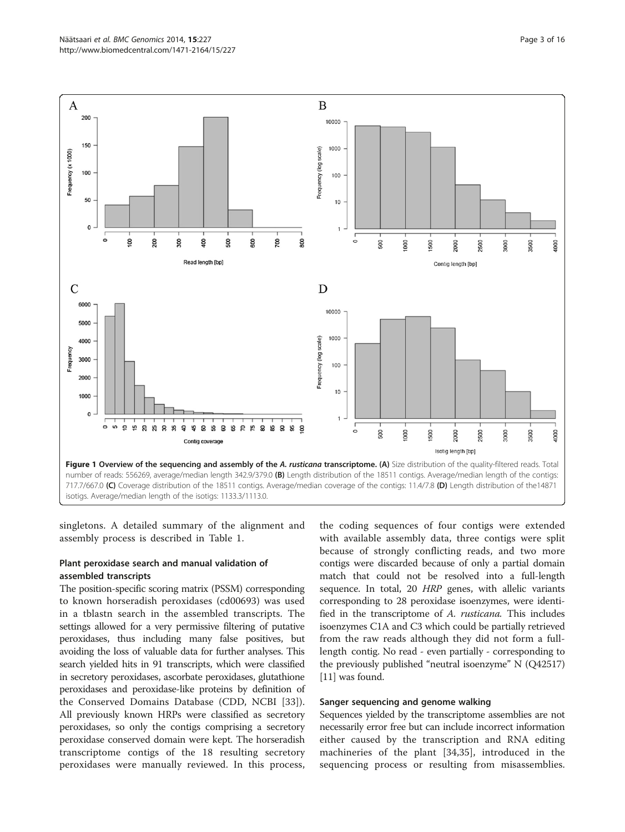<span id="page-2-0"></span>

singletons. A detailed summary of the alignment and assembly process is described in Table [1](#page-3-0).

#### Plant peroxidase search and manual validation of assembled transcripts

The position-specific scoring matrix (PSSM) corresponding to known horseradish peroxidases (cd00693) was used in a tblastn search in the assembled transcripts. The settings allowed for a very permissive filtering of putative peroxidases, thus including many false positives, but avoiding the loss of valuable data for further analyses. This search yielded hits in 91 transcripts, which were classified in secretory peroxidases, ascorbate peroxidases, glutathione peroxidases and peroxidase-like proteins by definition of the Conserved Domains Database (CDD, NCBI [[33\]](#page-14-0)). All previously known HRPs were classified as secretory peroxidases, so only the contigs comprising a secretory peroxidase conserved domain were kept. The horseradish transcriptome contigs of the 18 resulting secretory peroxidases were manually reviewed. In this process,

the coding sequences of four contigs were extended with available assembly data, three contigs were split because of strongly conflicting reads, and two more contigs were discarded because of only a partial domain match that could not be resolved into a full-length sequence. In total, 20 HRP genes, with allelic variants corresponding to 28 peroxidase isoenzymes, were identified in the transcriptome of A. *rusticana*. This includes isoenzymes C1A and C3 which could be partially retrieved from the raw reads although they did not form a fulllength contig. No read - even partially - corresponding to the previously published "neutral isoenzyme" N (Q42517) [[11](#page-13-0)] was found.

#### Sanger sequencing and genome walking

Sequences yielded by the transcriptome assemblies are not necessarily error free but can include incorrect information either caused by the transcription and RNA editing machineries of the plant [[34,35\]](#page-14-0), introduced in the sequencing process or resulting from misassemblies.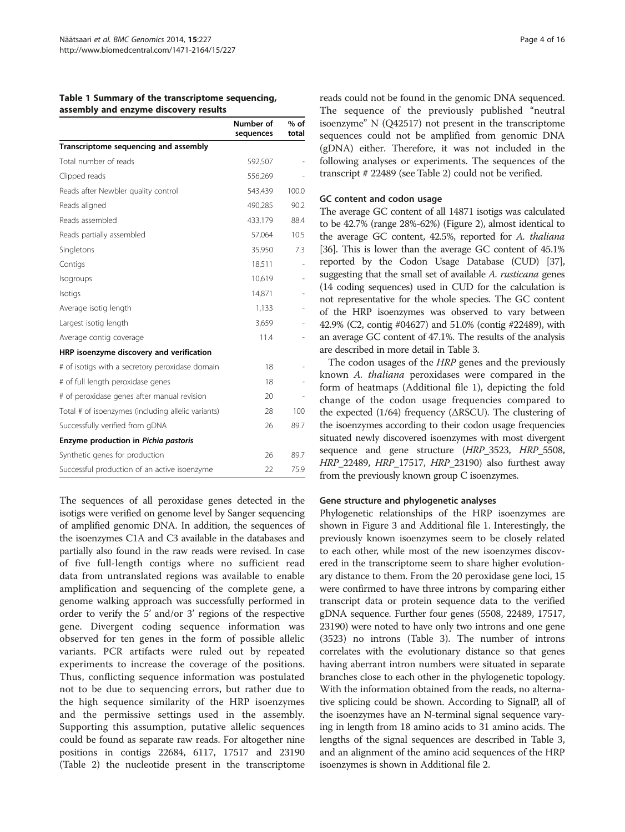<span id="page-3-0"></span>

| Table 1 Summary of the transcriptome sequencing, |  |
|--------------------------------------------------|--|
| assembly and enzyme discovery results            |  |

|                                                    | Number of<br>sequences | $%$ of<br>total |
|----------------------------------------------------|------------------------|-----------------|
| Transcriptome sequencing and assembly              |                        |                 |
| Total number of reads                              | 592,507                |                 |
| Clipped reads                                      | 556,269                |                 |
| Reads after Newbler quality control                | 543,439                | 100.0           |
| Reads aligned                                      | 490,285                | 90.2            |
| Reads assembled                                    | 433,179                | 88.4            |
| Reads partially assembled                          | 57,064                 | 10.5            |
| Singletons                                         | 35,950                 | 7.3             |
| Contigs                                            | 18,511                 |                 |
| Isogroups                                          | 10,619                 |                 |
| Isotigs                                            | 14,871                 |                 |
| Average isotig length                              | 1,133                  |                 |
| Largest isotig length                              | 3,659                  |                 |
| Average contig coverage                            | 11.4                   |                 |
| HRP isoenzyme discovery and verification           |                        |                 |
| # of isotigs with a secretory peroxidase domain    | 18                     |                 |
| # of full length peroxidase genes                  | 18                     |                 |
| # of peroxidase genes after manual revision        | 20                     |                 |
| Total # of isoenzymes (including allelic variants) | 28                     | 100             |
| Successfully verified from gDNA                    | 26                     | 89.7            |
| Enzyme production in Pichia pastoris               |                        |                 |
| Synthetic genes for production                     | 26                     | 89.7            |
| Successful production of an active isoenzyme       | 22                     | 75.9            |

The sequences of all peroxidase genes detected in the isotigs were verified on genome level by Sanger sequencing of amplified genomic DNA. In addition, the sequences of the isoenzymes C1A and C3 available in the databases and partially also found in the raw reads were revised. In case of five full-length contigs where no sufficient read data from untranslated regions was available to enable amplification and sequencing of the complete gene, a genome walking approach was successfully performed in order to verify the 5' and/or 3' regions of the respective gene. Divergent coding sequence information was observed for ten genes in the form of possible allelic variants. PCR artifacts were ruled out by repeated experiments to increase the coverage of the positions. Thus, conflicting sequence information was postulated not to be due to sequencing errors, but rather due to the high sequence similarity of the HRP isoenzymes and the permissive settings used in the assembly. Supporting this assumption, putative allelic sequences could be found as separate raw reads. For altogether nine positions in contigs 22684, 6117, 17517 and 23190 (Table [2](#page-4-0)) the nucleotide present in the transcriptome

reads could not be found in the genomic DNA sequenced. The sequence of the previously published "neutral isoenzyme" N (Q42517) not present in the transcriptome sequences could not be amplified from genomic DNA (gDNA) either. Therefore, it was not included in the following analyses or experiments. The sequences of the transcript # 22489 (see Table [2\)](#page-4-0) could not be verified.

#### GC content and codon usage

The average GC content of all 14871 isotigs was calculated to be 42.7% (range 28%-62%) (Figure [2\)](#page-5-0), almost identical to the average GC content, 42.5%, reported for A. thaliana [[36](#page-14-0)]. This is lower than the average GC content of 45.1% reported by the Codon Usage Database (CUD) [\[37](#page-14-0)], suggesting that the small set of available A. rusticana genes (14 coding sequences) used in CUD for the calculation is not representative for the whole species. The GC content of the HRP isoenzymes was observed to vary between 42.9% (C2, contig #04627) and 51.0% (contig #22489), with an average GC content of 47.1%. The results of the analysis are described in more detail in Table [3](#page-6-0).

The codon usages of the HRP genes and the previously known A. thaliana peroxidases were compared in the form of heatmaps (Additional file [1](#page-13-0)), depicting the fold change of the codon usage frequencies compared to the expected (1/64) frequency (ΔRSCU). The clustering of the isoenzymes according to their codon usage frequencies situated newly discovered isoenzymes with most divergent sequence and gene structure (HRP\_3523, HRP\_5508, HRP 22489, HRP 17517, HRP 23190) also furthest away from the previously known group C isoenzymes.

#### Gene structure and phylogenetic analyses

Phylogenetic relationships of the HRP isoenzymes are shown in Figure [3](#page-7-0) and Additional file [1](#page-13-0). Interestingly, the previously known isoenzymes seem to be closely related to each other, while most of the new isoenzymes discovered in the transcriptome seem to share higher evolutionary distance to them. From the 20 peroxidase gene loci, 15 were confirmed to have three introns by comparing either transcript data or protein sequence data to the verified gDNA sequence. Further four genes (5508, 22489, 17517, 23190) were noted to have only two introns and one gene (3523) no introns (Table [3](#page-6-0)). The number of introns correlates with the evolutionary distance so that genes having aberrant intron numbers were situated in separate branches close to each other in the phylogenetic topology. With the information obtained from the reads, no alternative splicing could be shown. According to SignalP, all of the isoenzymes have an N-terminal signal sequence varying in length from 18 amino acids to 31 amino acids. The lengths of the signal sequences are described in Table [3](#page-6-0), and an alignment of the amino acid sequences of the HRP isoenzymes is shown in Additional file [2](#page-13-0).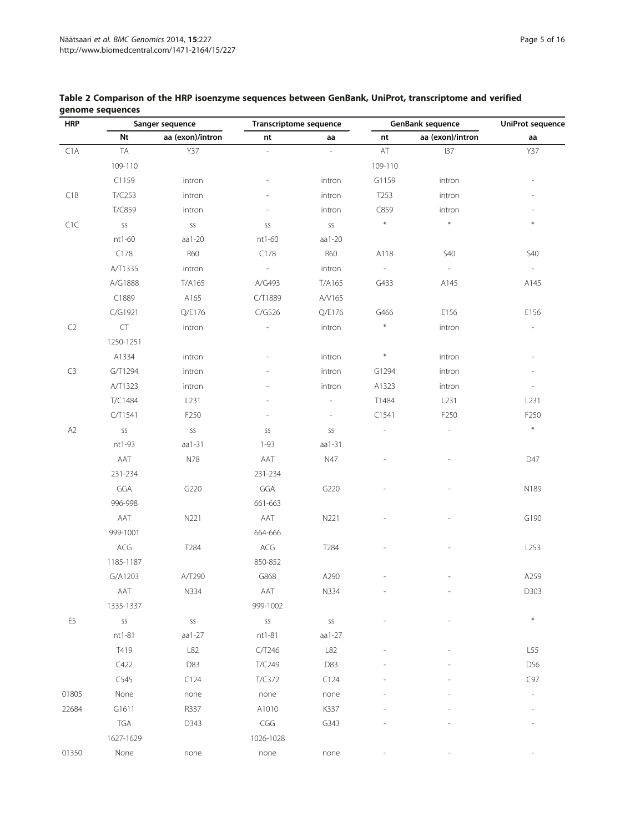<span id="page-4-0"></span>

| <b>HRP</b>       |           | Sanger sequence  | <b>Transcriptome sequence</b> |                          |                             | GenBank sequence | <b>UniProt sequence</b>  |
|------------------|-----------|------------------|-------------------------------|--------------------------|-----------------------------|------------------|--------------------------|
|                  | Nt        | aa (exon)/intron | nt                            | aa                       | nt                          | aa (exon)/intron | aa                       |
| C1A              | <b>TA</b> | Y37              | $\overline{a}$                | $\frac{1}{2}$            | AT                          | 137              | Y37                      |
|                  | 109-110   |                  |                               |                          | 109-110                     |                  |                          |
|                  | C1159     | intron           |                               | intron                   | G1159                       | intron           |                          |
| C1B              | T/C253    | intron           |                               | intron                   | T <sub>253</sub>            | intron           |                          |
|                  | T/C859    | intron           |                               | intron                   | C859                        | intron           |                          |
| C <sub>1</sub> C | SS        | SS               | SS                            | SS                       | $\ast$                      | $\ast$           | $\ast$                   |
|                  | nt1-60    | aa1-20           | nt1-60                        | aa1-20                   |                             |                  |                          |
|                  | C178      | <b>R60</b>       | C178                          | <b>R60</b>               | A118                        | <b>S40</b>       | <b>S40</b>               |
|                  | A/T1335   | intron           | $\overline{\phantom{a}}$      | intron                   | $\mathcal{L}_{\mathcal{A}}$ | $\sim$           | $\overline{\phantom{a}}$ |
|                  | A/G1888   | T/A165           | A/G493                        | T/A165                   | G433                        | A145             | A145                     |
|                  | C1889     | A165             | C/T1889                       | A/V165                   |                             |                  |                          |
|                  | C/G1921   | Q/E176           | C/G526                        | Q/E176                   | G466                        | E156             | E156                     |
| C <sub>2</sub>   | CT        | intron           |                               | intron                   | $\ast$                      | intron           | $\overline{\phantom{a}}$ |
|                  | 1250-1251 |                  |                               |                          |                             |                  |                          |
|                  | A1334     | intron           |                               | intron                   | $\ast$                      | intron           |                          |
| C3               | G/T1294   | intron           |                               | intron                   | G1294                       | intron           |                          |
|                  | A/T1323   | intron           |                               | intron                   | A1323                       | intron           |                          |
|                  | T/C1484   | L231             |                               | $\overline{\phantom{a}}$ | T1484                       | L231             | L231                     |
|                  | C/T1541   | F250             |                               | $\overline{\phantom{a}}$ | C1541                       | F250             | F250                     |
| A2               | SS        | SS               | SS                            | SS                       |                             | ٠                | $\ast$                   |
|                  | nt1-93    | aa1-31           | $1 - 93$                      | aa1-31                   |                             |                  |                          |
|                  | AAT       | N78              | AAT                           | N47                      |                             |                  | D47                      |
|                  | 231-234   |                  | 231-234                       |                          |                             |                  |                          |
|                  | GGA       | G220             | GGA                           | G220                     |                             |                  | N189                     |
|                  | 996-998   |                  | 661-663                       |                          |                             |                  |                          |

### Table 2 Comparis genome sequence

|                | 996-998   |        | 661-663   |           |                |        |
|----------------|-----------|--------|-----------|-----------|----------------|--------|
|                | AAT       | N221   | AAT       | N221      |                | G190   |
|                | 999-1001  |        | 664-666   |           |                |        |
|                | ACG       | T284   | ACG       | T284      |                | L253   |
|                | 1185-1187 |        | 850-852   |           |                |        |
|                | G/A1203   | A/T290 | G868      | A290      |                | A259   |
|                | AAT       | N334   | AAT       | N334      |                | D303   |
|                | 1335-1337 |        | 999-1002  |           |                |        |
| E <sub>5</sub> | SS        | SS     | SS        | SS        |                | $\ast$ |
|                | nt1-81    | aa1-27 | nt1-81    | aa $1-27$ |                |        |
|                | T419      | L82    | C/T246    | L82       |                | L55    |
|                | C422      | D83    | T/C249    | D83       |                | D56    |
|                | C545      | C124   | T/C372    | C124      |                | C97    |
| 01805          | None      | none   | none      | none      | $\overline{a}$ |        |
| 22684          | G1611     | R337   | A1010     | K337      |                |        |
|                | TGA       | D343   | CGG       | G343      | $\overline{a}$ |        |
|                | 1627-1629 |        | 1026-1028 |           |                |        |
| 01350          | None      | none   | none      | none      |                |        |
|                |           |        |           |           |                |        |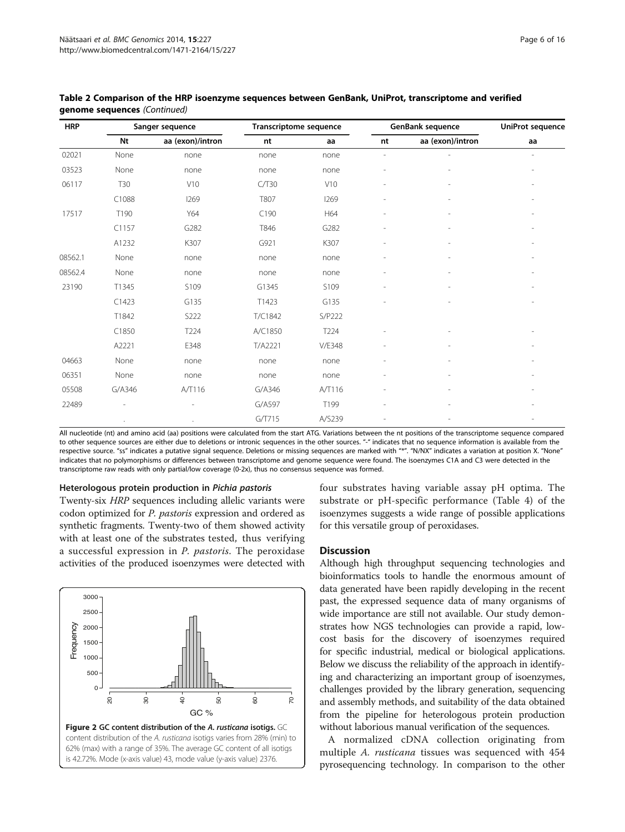| <b>HRP</b> |         | Sanger sequence  | <b>Transcriptome sequence</b> |        |    | GenBank sequence | <b>UniProt sequence</b> |  |
|------------|---------|------------------|-------------------------------|--------|----|------------------|-------------------------|--|
|            | Nt      | aa (exon)/intron | nt                            | aa     | nt | aa (exon)/intron | aa                      |  |
| 02021      | None    | none             | none                          | none   | L. |                  | ٠                       |  |
| 03523      | None    | none             | none                          | none   |    |                  |                         |  |
| 06117      | T30     | V10              | C/T30                         | V10    |    |                  |                         |  |
|            | C1088   | 1269             | T807                          | 1269   |    |                  |                         |  |
| 17517      | T190    | Y64              | C190                          | H64    |    |                  |                         |  |
|            | C1157   | G282             | T846                          | G282   |    |                  |                         |  |
|            | A1232   | K307             | G921                          | K307   |    |                  |                         |  |
| 08562.1    | None    | none             | none                          | none   |    |                  |                         |  |
| 08562.4    | None    | none             | none                          | none   |    |                  |                         |  |
| 23190      | T1345   | S109             | G1345                         | S109   |    |                  |                         |  |
|            | C1423   | G135             | T1423                         | G135   |    |                  |                         |  |
|            | T1842   | S222             | T/C1842                       | S/P222 |    |                  |                         |  |
|            | C1850   | T224             | A/C1850                       | T224   |    |                  |                         |  |
|            | A2221   | E348             | T/A2221                       | V/E348 |    |                  |                         |  |
| 04663      | None    | none             | none                          | none   |    |                  |                         |  |
| 06351      | None    | none             | none                          | none   |    |                  |                         |  |
| 05508      | G/A346  | A/T116           | G/A346                        | A/T116 | ۰  |                  |                         |  |
| 22489      |         |                  | G/A597                        | T199   |    |                  |                         |  |
|            | $\cdot$ | $\cdot$          | G/T715                        | A/S239 |    |                  |                         |  |

<span id="page-5-0"></span>Table 2 Comparison of the HRP isoenzyme sequences between GenBank, UniProt, transcriptome and verified genome sequences (Continued)

All nucleotide (nt) and amino acid (aa) positions were calculated from the start ATG. Variations between the nt positions of the transcriptome sequence compared to other sequence sources are either due to deletions or intronic sequences in the other sources. "-" indicates that no sequence information is available from the respective source. "ss" indicates a putative signal sequence. Deletions or missing sequences are marked with "\*". "N/NX" indicates a variation at position X. "None" indicates that no polymorphisms or differences between transcriptome and genome sequence were found. The isoenzymes C1A and C3 were detected in the transcriptome raw reads with only partial/low coverage (0-2x), thus no consensus sequence was formed.

#### Heterologous protein production in Pichia pastoris

Twenty-six HRP sequences including allelic variants were codon optimized for P. pastoris expression and ordered as synthetic fragments. Twenty-two of them showed activity with at least one of the substrates tested, thus verifying a successful expression in P. pastoris. The peroxidase activities of the produced isoenzymes were detected with



four substrates having variable assay pH optima. The substrate or pH-specific performance (Table [4](#page-8-0)) of the isoenzymes suggests a wide range of possible applications for this versatile group of peroxidases.

#### Discussion

Although high throughput sequencing technologies and bioinformatics tools to handle the enormous amount of data generated have been rapidly developing in the recent past, the expressed sequence data of many organisms of wide importance are still not available. Our study demonstrates how NGS technologies can provide a rapid, lowcost basis for the discovery of isoenzymes required for specific industrial, medical or biological applications. Below we discuss the reliability of the approach in identifying and characterizing an important group of isoenzymes, challenges provided by the library generation, sequencing and assembly methods, and suitability of the data obtained from the pipeline for heterologous protein production without laborious manual verification of the sequences.

A normalized cDNA collection originating from multiple A. *rusticana* tissues was sequenced with 454 pyrosequencing technology. In comparison to the other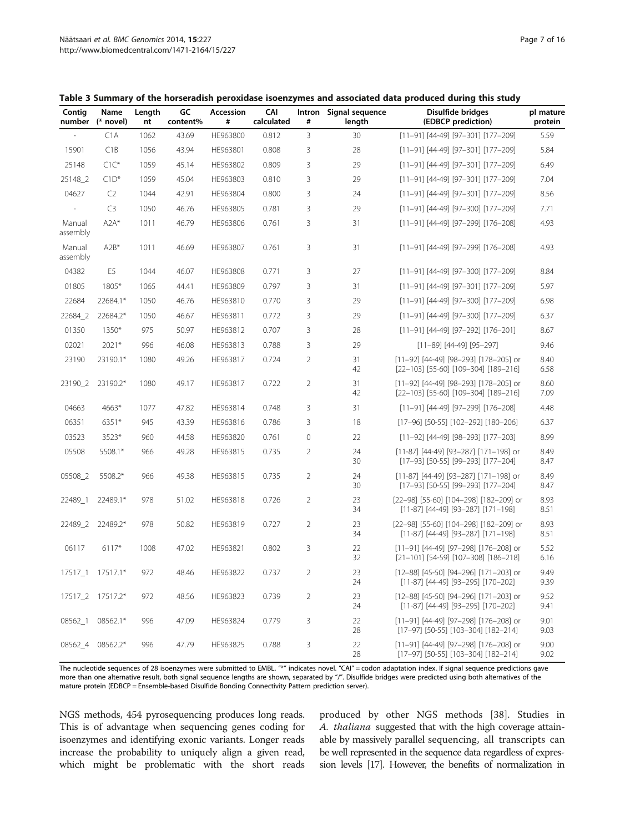<span id="page-6-0"></span>

| Table 3 Summary of the horseradish peroxidase isoenzymes and associated data produced during this study |  |  |  |
|---------------------------------------------------------------------------------------------------------|--|--|--|
|---------------------------------------------------------------------------------------------------------|--|--|--|

| Contig             | Name<br>number (* novel) | Length<br>nt | GC<br>content% | Accession<br># | CAI<br>calculated | Intron<br>#    | Signal sequence<br>length | Disulfide bridges<br>(EDBCP prediction)                                           | pl mature<br>protein |
|--------------------|--------------------------|--------------|----------------|----------------|-------------------|----------------|---------------------------|-----------------------------------------------------------------------------------|----------------------|
|                    | C1A                      | 1062         | 43.69          | HE963800       | 0.812             | $\overline{3}$ | 30                        | [11-91] [44-49] [97-301] [177-209]                                                | 5.59                 |
| 15901              | C1B                      | 1056         | 43.94          | HE963801       | 0.808             | 3              | 28                        | $[11-91]$ $[44-49]$ $[97-301]$ $[177-209]$                                        | 5.84                 |
| 25148              | $C1C*$                   | 1059         | 45.14          | HE963802       | 0.809             | 3              | 29                        | $[11-91]$ $[44-49]$ $[97-301]$ $[177-209]$                                        | 6.49                 |
| 25148_2            | $C1D*$                   | 1059         | 45.04          | HE963803       | 0.810             | 3              | 29                        | $[11-91]$ [44-49] [97-301] [177-209]                                              | 7.04                 |
| 04627              | C <sub>2</sub>           | 1044         | 42.91          | HE963804       | 0.800             | 3              | 24                        | $[11-91]$ $[44-49]$ $[97-301]$ $[177-209]$                                        | 8.56                 |
|                    | C3                       | 1050         | 46.76          | HE963805       | 0.781             | 3              | 29                        | $[11-91]$ $[44-49]$ $[97-300]$ $[177-209]$                                        | 7.71                 |
| Manual<br>assembly | $A2A*$                   | 1011         | 46.79          | HE963806       | 0.761             | 3              | 31                        | [11-91] [44-49] [97-299] [176-208]                                                | 4.93                 |
| Manual<br>assembly | $A2B*$                   | 1011         | 46.69          | HE963807       | 0.761             | 3              | 31                        | $[11-91]$ [44-49] [97-299] [176-208]                                              | 4.93                 |
| 04382              | E <sub>5</sub>           | 1044         | 46.07          | HE963808       | 0.771             | 3              | 27                        | $[11-91]$ $[44-49]$ $[97-300]$ $[177-209]$                                        | 8.84                 |
| 01805              | 1805*                    | 1065         | 44.41          | HE963809       | 0.797             | 3              | 31                        | $[11-91]$ $[44-49]$ $[97-301]$ $[177-209]$                                        | 5.97                 |
| 22684              | 22684.1*                 | 1050         | 46.76          | HE963810       | 0.770             | 3              | 29                        | $[11-91]$ $[44-49]$ $[97-300]$ $[177-209]$                                        | 6.98                 |
| 22684_2            | 22684.2*                 | 1050         | 46.67          | HE963811       | 0.772             | 3              | 29                        | $[11-91]$ $[44-49]$ $[97-300]$ $[177-209]$                                        | 6.37                 |
| 01350              | 1350*                    | 975          | 50.97          | HE963812       | 0.707             | 3              | 28                        | $[11-91]$ $[44-49]$ $[97-292]$ $[176-201]$                                        | 8.67                 |
| 02021              | $2021*$                  | 996          | 46.08          | HE963813       | 0.788             | 3              | 29                        | $[11-89]$ [44-49] [95-297]                                                        | 9.46                 |
| 23190              | 23190.1*                 | 1080         | 49.26          | HE963817       | 0.724             | $\overline{2}$ | 31<br>42                  | [11-92] [44-49] [98-293] [178-205] or<br>$[22-103]$ [55-60] [109-304] [189-216]   | 8.40<br>6.58         |
| 23190_2            | 23190.2*                 | 1080         | 49.17          | HE963817       | 0.722             | $\overline{2}$ | 31<br>42                  | $[11-92]$ [44-49] [98-293] [178-205] or<br>$[22-103]$ [55-60] [109-304] [189-216] | 8.60<br>7.09         |
| 04663              | 4663*                    | 1077         | 47.82          | HE963814       | 0.748             | 3              | 31                        | $[11-91]$ $[44-49]$ $[97-299]$ $[176-208]$                                        | 4.48                 |
| 06351              | 6351*                    | 945          | 43.39          | HE963816       | 0.786             | 3              | 18                        | $[17-96]$ [50-55] $[102-292]$ [180-206]                                           | 6.37                 |
| 03523              | 3523*                    | 960          | 44.58          | HE963820       | 0.761             | $\circ$        | 22                        | $[11-92]$ $[44-49]$ $[98-293]$ $[177-203]$                                        | 8.99                 |
| 05508              | 5508.1*                  | 966          | 49.28          | HE963815       | 0.735             | $\overline{2}$ | 24<br>30                  | $[11-87]$ [44-49] [93-287] [171-198] or<br>$[17-93]$ [50-55] [99-293] [177-204]   | 8.49<br>8.47         |
| 05508_2            | 5508.2*                  | 966          | 49.38          | HE963815       | 0.735             | $\overline{2}$ | 24<br>30                  | $[11-87]$ [44-49] [93-287] [171-198] or<br>$[17-93]$ [50-55] [99-293] [177-204]   | 8.49<br>8.47         |
| 22489_1            | 22489.1*                 | 978          | 51.02          | HE963818       | 0.726             | $\overline{2}$ | 23<br>34                  | [22-98] [55-60] [104-298] [182-209] or<br>[11-87] [44-49] [93-287] [171-198]      | 8.93<br>8.51         |
| 22489_2            | 22489.2*                 | 978          | 50.82          | HE963819       | 0.727             | $\overline{2}$ | 23<br>34                  | $[22-98]$ [55-60] [104-298] [182-209] or<br>[11-87] [44-49] [93-287] [171-198]    | 8.93<br>8.51         |
| 06117              | 6117*                    | 1008         | 47.02          | HE963821       | 0.802             | 3              | 22<br>32                  | [11-91] [44-49] [97-298] [176-208] or<br>$[21-101]$ [54-59] [107-308] [186-218]   | 5.52<br>6.16         |
| 17517 1            | 17517.1*                 | 972          | 48.46          | HE963822       | 0.737             | 2              | 23<br>24                  | $[12-88]$ [45-50] [94-296] [171-203] or<br>[11-87] [44-49] [93-295] [170-202]     | 9.49<br>9.39         |
|                    | 17517_2 17517.2*         | 972          | 48.56          | HE963823       | 0.739             | $\overline{2}$ | 23<br>24                  | $[12-88]$ [45-50] [94-296] [171-203] or<br>[11-87] [44-49] [93-295] [170-202]     | 9.52<br>9.41         |
| 08562_1            | 08562.1*                 | 996          | 47.09          | HE963824       | 0.779             | 3              | 22<br>28                  | [11-91] [44-49] [97-298] [176-208] or<br>[17-97] [50-55] [103-304] [182-214]      | 9.01<br>9.03         |
| 08562 4            | 08562.2*                 | 996          | 47.79          | HE963825       | 0.788             | 3              | 22<br>28                  | [11-91] [44-49] [97-298] [176-208] or<br>[17-97] [50-55] [103-304] [182-214]      | 9.00<br>9.02         |

The nucleotide sequences of 28 isoenzymes were submitted to EMBL. "\*" indicates novel. "CAI" = codon adaptation index. If signal sequence predictions gave more than one alternative result, both signal sequence lengths are shown, separated by "/". Disulfide bridges were predicted using both alternatives of the mature protein (EDBCP = Ensemble-based Disulfide Bonding Connectivity Pattern prediction server).

NGS methods, 454 pyrosequencing produces long reads. This is of advantage when sequencing genes coding for isoenzymes and identifying exonic variants. Longer reads increase the probability to uniquely align a given read, which might be problematic with the short reads

produced by other NGS methods [[38\]](#page-14-0). Studies in A. thaliana suggested that with the high coverage attainable by massively parallel sequencing, all transcripts can be well represented in the sequence data regardless of expression levels [[17\]](#page-13-0). However, the benefits of normalization in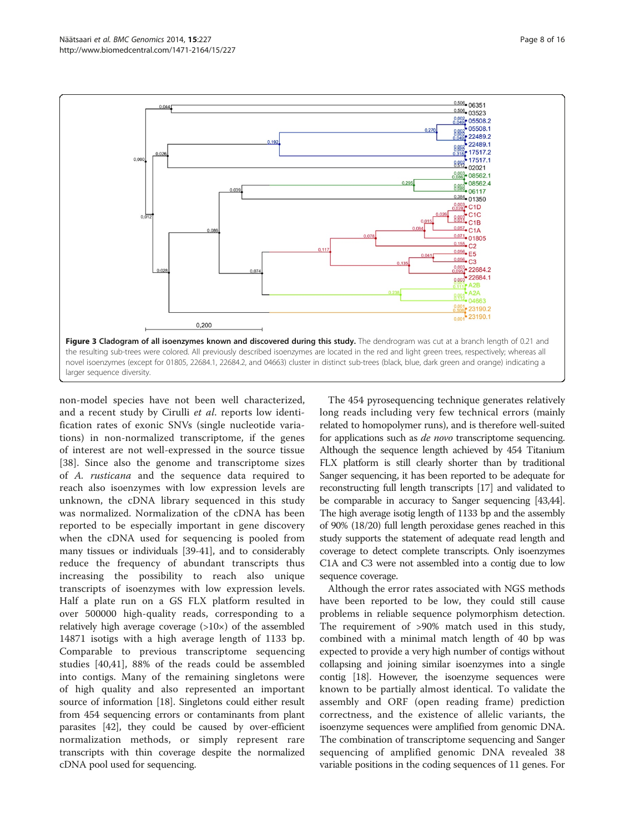<span id="page-7-0"></span>

non-model species have not been well characterized, and a recent study by Cirulli et al. reports low identification rates of exonic SNVs (single nucleotide variations) in non-normalized transcriptome, if the genes of interest are not well-expressed in the source tissue [[38\]](#page-14-0). Since also the genome and transcriptome sizes of A. rusticana and the sequence data required to reach also isoenzymes with low expression levels are unknown, the cDNA library sequenced in this study was normalized. Normalization of the cDNA has been reported to be especially important in gene discovery when the cDNA used for sequencing is pooled from many tissues or individuals [[39-41\]](#page-14-0), and to considerably reduce the frequency of abundant transcripts thus increasing the possibility to reach also unique transcripts of isoenzymes with low expression levels. Half a plate run on a GS FLX platform resulted in over 500000 high-quality reads, corresponding to a relatively high average coverage  $(>10\times)$  of the assembled 14871 isotigs with a high average length of 1133 bp. Comparable to previous transcriptome sequencing studies [[40,41\]](#page-14-0), 88% of the reads could be assembled into contigs. Many of the remaining singletons were of high quality and also represented an important source of information [\[18\]](#page-13-0). Singletons could either result from 454 sequencing errors or contaminants from plant parasites [[42](#page-14-0)], they could be caused by over-efficient normalization methods, or simply represent rare transcripts with thin coverage despite the normalized cDNA pool used for sequencing.

The 454 pyrosequencing technique generates relatively long reads including very few technical errors (mainly related to homopolymer runs), and is therefore well-suited for applications such as *de novo* transcriptome sequencing. Although the sequence length achieved by 454 Titanium FLX platform is still clearly shorter than by traditional Sanger sequencing, it has been reported to be adequate for reconstructing full length transcripts [[17](#page-13-0)] and validated to be comparable in accuracy to Sanger sequencing [[43,44](#page-14-0)]. The high average isotig length of 1133 bp and the assembly of 90% (18/20) full length peroxidase genes reached in this study supports the statement of adequate read length and coverage to detect complete transcripts. Only isoenzymes C1A and C3 were not assembled into a contig due to low sequence coverage.

Although the error rates associated with NGS methods have been reported to be low, they could still cause problems in reliable sequence polymorphism detection. The requirement of >90% match used in this study, combined with a minimal match length of 40 bp was expected to provide a very high number of contigs without collapsing and joining similar isoenzymes into a single contig [\[18\]](#page-13-0). However, the isoenzyme sequences were known to be partially almost identical. To validate the assembly and ORF (open reading frame) prediction correctness, and the existence of allelic variants, the isoenzyme sequences were amplified from genomic DNA. The combination of transcriptome sequencing and Sanger sequencing of amplified genomic DNA revealed 38 variable positions in the coding sequences of 11 genes. For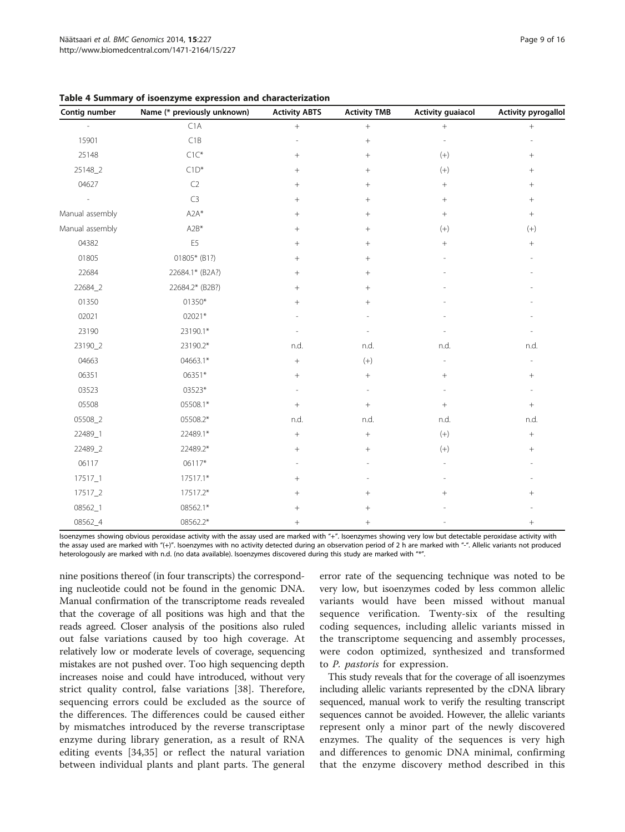| Contig number   | Name (* previously unknown) | <b>Activity ABTS</b> | <b>Activity TMB</b> | Activity guaiacol | Activity pyrogallol |
|-----------------|-----------------------------|----------------------|---------------------|-------------------|---------------------|
|                 | C1A                         | $^{+}$               | $\boldsymbol{+}$    | $\! + \!$         | $+$                 |
| 15901           | C1B                         |                      | $^{+}$              |                   |                     |
| 25148           | $C1C*$                      |                      |                     | $(+)$             | $\! + \!\!\!\!$     |
| 25148_2         | $C1D*$                      | $^{+}$               | $^{+}$              | $(+)$             | $^{+}$              |
| 04627           | C2                          | $^{+}$               | $^{+}$              | $+$               | $^{+}$              |
|                 | C3                          | $^{+}$               | $^{+}$              | $^{+}$            | $\! + \!\!\!\!$     |
| Manual assembly | $A2A*$                      | $^{+}$               |                     |                   | $+$                 |
| Manual assembly | $A2B*$                      | $^{+}$               |                     | $(+)$             | $^{(+)}$            |
| 04382           | E <sub>5</sub>              | $^{+}$               |                     |                   |                     |
| 01805           | $01805*$ (B1?)              | $^{+}$               | $^{+}$              |                   |                     |
| 22684           | 22684.1* (B2A?)             | $^+$                 |                     |                   |                     |
| 22684_2         | 22684.2* (B2B?)             | $^{+}$               |                     |                   |                     |
| 01350           | 01350*                      | $^{+}$               |                     |                   |                     |
| 02021           | 02021*                      |                      |                     |                   |                     |
| 23190           | 23190.1*                    |                      |                     |                   |                     |
| 23190_2         | 23190.2*                    | n.d.                 | n.d.                | n.d.              | n.d.                |
| 04663           | 04663.1*                    | $^+$                 | $^{(+)}$            |                   |                     |
| 06351           | 06351*                      | $^{+}$               |                     | $^{+}$            |                     |
| 03523           | 03523*                      |                      |                     |                   |                     |
| 05508           | 05508.1*                    | $^+$                 | $^{+}$              | $+$               | $+$                 |
| 05508_2         | 05508.2*                    | n.d.                 | n.d.                | n.d.              | n.d.                |
| 22489_1         | 22489.1*                    | $^+$                 | $^+$                | $(+)$             |                     |
| 22489_2         | 22489.2*                    |                      |                     | $(+)$             | $\! + \!\!\!\!$     |
| 06117           | 06117*                      |                      |                     |                   |                     |
| 17517_1         | 17517.1*                    | $^{+}$               |                     |                   |                     |
| 17517_2         | 17517.2*                    | $^{+}$               |                     | $^+$              | $\hskip 0.025cm +$  |
| 08562_1         | 08562.1*                    | $^{+}$               |                     |                   |                     |
| 08562_4         | 08562.2*                    | $^{+}$               | $^{+}$              |                   | $^{+}$              |

<span id="page-8-0"></span>

|  |  |  |  | Table 4 Summary of isoenzyme expression and characterization |
|--|--|--|--|--------------------------------------------------------------|
|--|--|--|--|--------------------------------------------------------------|

Isoenzymes showing obvious peroxidase activity with the assay used are marked with "+". Isoenzymes showing very low but detectable peroxidase activity with the assay used are marked with "(+)". Isoenzymes with no activity detected during an observation period of 2 h are marked with "-". Allelic variants not produced heterologously are marked with n.d. (no data available). Isoenzymes discovered during this study are marked with "\*".

nine positions thereof (in four transcripts) the corresponding nucleotide could not be found in the genomic DNA. Manual confirmation of the transcriptome reads revealed that the coverage of all positions was high and that the reads agreed. Closer analysis of the positions also ruled out false variations caused by too high coverage. At relatively low or moderate levels of coverage, sequencing mistakes are not pushed over. Too high sequencing depth increases noise and could have introduced, without very strict quality control, false variations [[38\]](#page-14-0). Therefore, sequencing errors could be excluded as the source of the differences. The differences could be caused either by mismatches introduced by the reverse transcriptase enzyme during library generation, as a result of RNA editing events [\[34,35](#page-14-0)] or reflect the natural variation between individual plants and plant parts. The general

error rate of the sequencing technique was noted to be very low, but isoenzymes coded by less common allelic variants would have been missed without manual sequence verification. Twenty-six of the resulting coding sequences, including allelic variants missed in the transcriptome sequencing and assembly processes, were codon optimized, synthesized and transformed to P. pastoris for expression.

This study reveals that for the coverage of all isoenzymes including allelic variants represented by the cDNA library sequenced, manual work to verify the resulting transcript sequences cannot be avoided. However, the allelic variants represent only a minor part of the newly discovered enzymes. The quality of the sequences is very high and differences to genomic DNA minimal, confirming that the enzyme discovery method described in this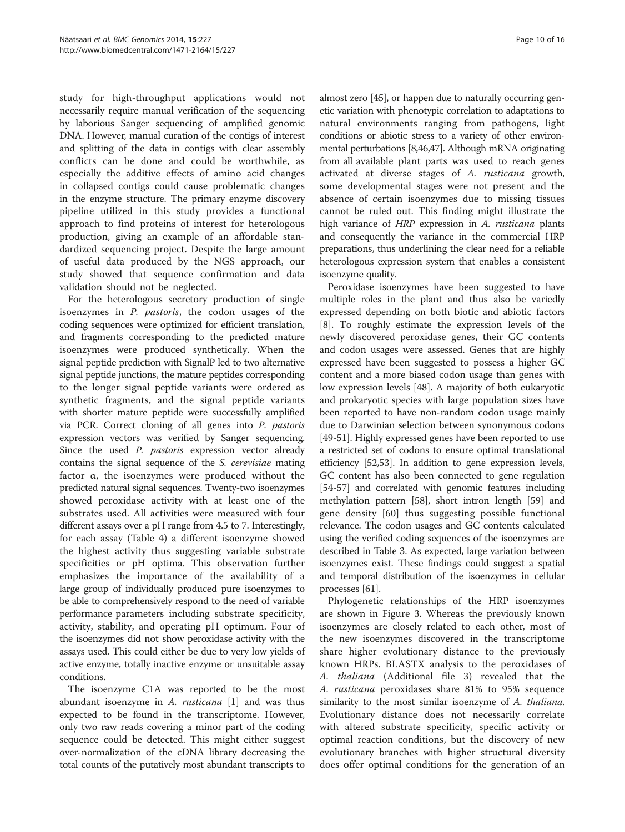study for high-throughput applications would not necessarily require manual verification of the sequencing by laborious Sanger sequencing of amplified genomic DNA. However, manual curation of the contigs of interest and splitting of the data in contigs with clear assembly conflicts can be done and could be worthwhile, as especially the additive effects of amino acid changes in collapsed contigs could cause problematic changes in the enzyme structure. The primary enzyme discovery pipeline utilized in this study provides a functional approach to find proteins of interest for heterologous production, giving an example of an affordable standardized sequencing project. Despite the large amount of useful data produced by the NGS approach, our study showed that sequence confirmation and data validation should not be neglected.

For the heterologous secretory production of single isoenzymes in P. pastoris, the codon usages of the coding sequences were optimized for efficient translation, and fragments corresponding to the predicted mature isoenzymes were produced synthetically. When the signal peptide prediction with SignalP led to two alternative signal peptide junctions, the mature peptides corresponding to the longer signal peptide variants were ordered as synthetic fragments, and the signal peptide variants with shorter mature peptide were successfully amplified via PCR. Correct cloning of all genes into P. pastoris expression vectors was verified by Sanger sequencing. Since the used *P. pastoris* expression vector already contains the signal sequence of the S. cerevisiae mating factor  $\alpha$ , the isoenzymes were produced without the predicted natural signal sequences. Twenty-two isoenzymes showed peroxidase activity with at least one of the substrates used. All activities were measured with four different assays over a pH range from 4.5 to 7. Interestingly, for each assay (Table [4](#page-8-0)) a different isoenzyme showed the highest activity thus suggesting variable substrate specificities or pH optima. This observation further emphasizes the importance of the availability of a large group of individually produced pure isoenzymes to be able to comprehensively respond to the need of variable performance parameters including substrate specificity, activity, stability, and operating pH optimum. Four of the isoenzymes did not show peroxidase activity with the assays used. This could either be due to very low yields of active enzyme, totally inactive enzyme or unsuitable assay conditions.

The isoenzyme C1A was reported to be the most abundant isoenzyme in  $A$ . *rusticana* [\[1\]](#page-13-0) and was thus expected to be found in the transcriptome. However, only two raw reads covering a minor part of the coding sequence could be detected. This might either suggest over-normalization of the cDNA library decreasing the total counts of the putatively most abundant transcripts to

almost zero [\[45\]](#page-14-0), or happen due to naturally occurring genetic variation with phenotypic correlation to adaptations to natural environments ranging from pathogens, light conditions or abiotic stress to a variety of other environmental perturbations [\[8,](#page-13-0)[46,47](#page-14-0)]. Although mRNA originating from all available plant parts was used to reach genes activated at diverse stages of A. rusticana growth, some developmental stages were not present and the absence of certain isoenzymes due to missing tissues cannot be ruled out. This finding might illustrate the high variance of HRP expression in A. rusticana plants and consequently the variance in the commercial HRP preparations, thus underlining the clear need for a reliable heterologous expression system that enables a consistent isoenzyme quality.

Peroxidase isoenzymes have been suggested to have multiple roles in the plant and thus also be variedly expressed depending on both biotic and abiotic factors [[8\]](#page-13-0). To roughly estimate the expression levels of the newly discovered peroxidase genes, their GC contents and codon usages were assessed. Genes that are highly expressed have been suggested to possess a higher GC content and a more biased codon usage than genes with low expression levels [\[48](#page-14-0)]. A majority of both eukaryotic and prokaryotic species with large population sizes have been reported to have non-random codon usage mainly due to Darwinian selection between synonymous codons [[49](#page-14-0)-[51\]](#page-14-0). Highly expressed genes have been reported to use a restricted set of codons to ensure optimal translational efficiency [[52,53](#page-14-0)]. In addition to gene expression levels, GC content has also been connected to gene regulation [[54](#page-14-0)-[57\]](#page-14-0) and correlated with genomic features including methylation pattern [\[58\]](#page-14-0), short intron length [[59](#page-14-0)] and gene density [\[60](#page-14-0)] thus suggesting possible functional relevance. The codon usages and GC contents calculated using the verified coding sequences of the isoenzymes are described in Table [3.](#page-6-0) As expected, large variation between isoenzymes exist. These findings could suggest a spatial and temporal distribution of the isoenzymes in cellular processes [\[61\]](#page-14-0).

Phylogenetic relationships of the HRP isoenzymes are shown in Figure [3.](#page-7-0) Whereas the previously known isoenzymes are closely related to each other, most of the new isoenzymes discovered in the transcriptome share higher evolutionary distance to the previously known HRPs. BLASTX analysis to the peroxidases of A. thaliana (Additional file [3\)](#page-13-0) revealed that the A. rusticana peroxidases share 81% to 95% sequence similarity to the most similar isoenzyme of A. thaliana. Evolutionary distance does not necessarily correlate with altered substrate specificity, specific activity or optimal reaction conditions, but the discovery of new evolutionary branches with higher structural diversity does offer optimal conditions for the generation of an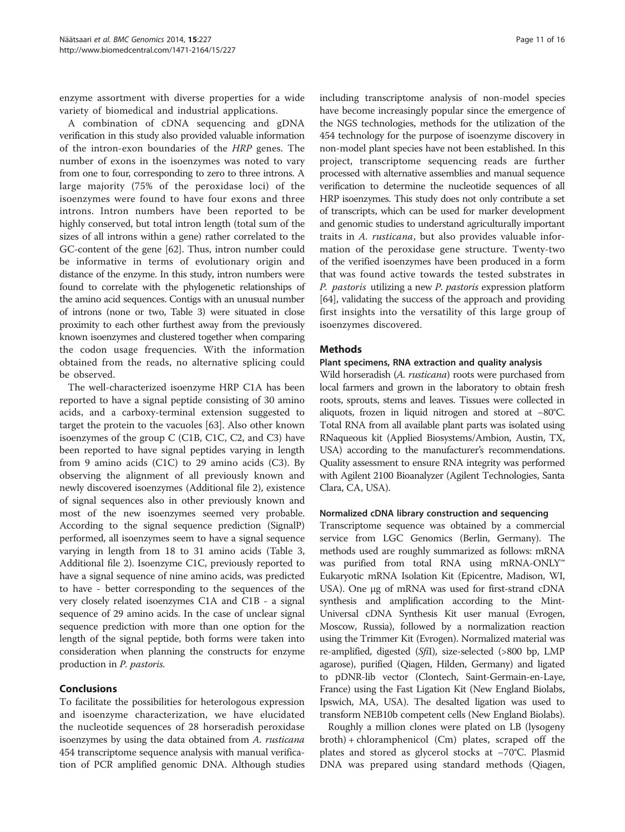enzyme assortment with diverse properties for a wide variety of biomedical and industrial applications.

A combination of cDNA sequencing and gDNA verification in this study also provided valuable information of the intron-exon boundaries of the HRP genes. The number of exons in the isoenzymes was noted to vary from one to four, corresponding to zero to three introns. A large majority (75% of the peroxidase loci) of the isoenzymes were found to have four exons and three introns. Intron numbers have been reported to be highly conserved, but total intron length (total sum of the sizes of all introns within a gene) rather correlated to the GC-content of the gene [\[62](#page-14-0)]. Thus, intron number could be informative in terms of evolutionary origin and distance of the enzyme. In this study, intron numbers were found to correlate with the phylogenetic relationships of the amino acid sequences. Contigs with an unusual number of introns (none or two, Table [3\)](#page-6-0) were situated in close proximity to each other furthest away from the previously known isoenzymes and clustered together when comparing the codon usage frequencies. With the information obtained from the reads, no alternative splicing could be observed.

The well-characterized isoenzyme HRP C1A has been reported to have a signal peptide consisting of 30 amino acids, and a carboxy-terminal extension suggested to target the protein to the vacuoles [[63\]](#page-14-0). Also other known isoenzymes of the group C (C1B, C1C, C2, and C3) have been reported to have signal peptides varying in length from 9 amino acids (C1C) to 29 amino acids (C3). By observing the alignment of all previously known and newly discovered isoenzymes (Additional file [2\)](#page-13-0), existence of signal sequences also in other previously known and most of the new isoenzymes seemed very probable. According to the signal sequence prediction (SignalP) performed, all isoenzymes seem to have a signal sequence varying in length from 18 to 31 amino acids (Table [3](#page-6-0), Additional file [2\)](#page-13-0). Isoenzyme C1C, previously reported to have a signal sequence of nine amino acids, was predicted to have - better corresponding to the sequences of the very closely related isoenzymes C1A and C1B - a signal sequence of 29 amino acids. In the case of unclear signal sequence prediction with more than one option for the length of the signal peptide, both forms were taken into consideration when planning the constructs for enzyme production in P. pastoris.

#### Conclusions

To facilitate the possibilities for heterologous expression and isoenzyme characterization, we have elucidated the nucleotide sequences of 28 horseradish peroxidase isoenzymes by using the data obtained from A. rusticana 454 transcriptome sequence analysis with manual verification of PCR amplified genomic DNA. Although studies

including transcriptome analysis of non-model species have become increasingly popular since the emergence of the NGS technologies, methods for the utilization of the 454 technology for the purpose of isoenzyme discovery in non-model plant species have not been established. In this project, transcriptome sequencing reads are further processed with alternative assemblies and manual sequence verification to determine the nucleotide sequences of all HRP isoenzymes. This study does not only contribute a set of transcripts, which can be used for marker development and genomic studies to understand agriculturally important traits in A. rusticana, but also provides valuable information of the peroxidase gene structure. Twenty-two of the verified isoenzymes have been produced in a form that was found active towards the tested substrates in P. pastoris utilizing a new P. pastoris expression platform [[64](#page-14-0)], validating the success of the approach and providing first insights into the versatility of this large group of isoenzymes discovered.

#### Methods

#### Plant specimens, RNA extraction and quality analysis

Wild horseradish (A. rusticana) roots were purchased from local farmers and grown in the laboratory to obtain fresh roots, sprouts, stems and leaves. Tissues were collected in aliquots, frozen in liquid nitrogen and stored at −80°C. Total RNA from all available plant parts was isolated using RNaqueous kit (Applied Biosystems/Ambion, Austin, TX, USA) according to the manufacturer's recommendations. Quality assessment to ensure RNA integrity was performed with Agilent 2100 Bioanalyzer (Agilent Technologies, Santa Clara, CA, USA).

#### Normalized cDNA library construction and sequencing

Transcriptome sequence was obtained by a commercial service from LGC Genomics (Berlin, Germany). The methods used are roughly summarized as follows: mRNA was purified from total RNA using mRNA-ONLY™ Eukaryotic mRNA Isolation Kit (Epicentre, Madison, WI, USA). One μg of mRNA was used for first-strand cDNA synthesis and amplification according to the Mint-Universal cDNA Synthesis Kit user manual (Evrogen, Moscow, Russia), followed by a normalization reaction using the Trimmer Kit (Evrogen). Normalized material was re-amplified, digested (SfiI), size-selected (>800 bp, LMP agarose), purified (Qiagen, Hilden, Germany) and ligated to pDNR-lib vector (Clontech, Saint-Germain-en-Laye, France) using the Fast Ligation Kit (New England Biolabs, Ipswich, MA, USA). The desalted ligation was used to transform NEB10b competent cells (New England Biolabs).

Roughly a million clones were plated on LB (lysogeny broth) + chloramphenicol (Cm) plates, scraped off the plates and stored as glycerol stocks at −70°C. Plasmid DNA was prepared using standard methods (Qiagen,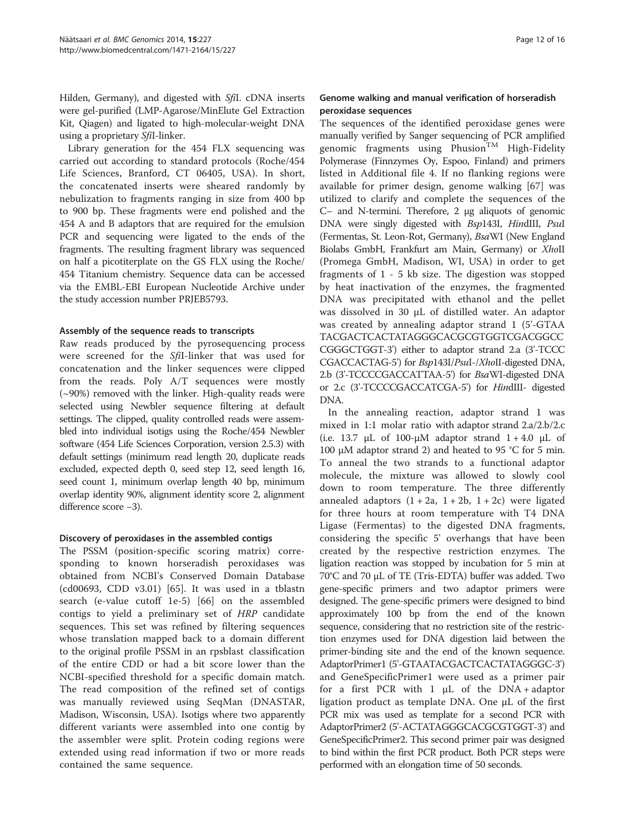Hilden, Germany), and digested with SfiI. cDNA inserts were gel-purified (LMP-Agarose/MinElute Gel Extraction Kit, Qiagen) and ligated to high-molecular-weight DNA using a proprietary SfiI-linker.

Library generation for the 454 FLX sequencing was carried out according to standard protocols (Roche/454 Life Sciences, Branford, CT 06405, USA). In short, the concatenated inserts were sheared randomly by nebulization to fragments ranging in size from 400 bp to 900 bp. These fragments were end polished and the 454 A and B adaptors that are required for the emulsion PCR and sequencing were ligated to the ends of the fragments. The resulting fragment library was sequenced on half a picotiterplate on the GS FLX using the Roche/ 454 Titanium chemistry. Sequence data can be accessed via the EMBL-EBI European Nucleotide Archive under the study accession number PRJEB5793.

#### Assembly of the sequence reads to transcripts

Raw reads produced by the pyrosequencing process were screened for the SfiI-linker that was used for concatenation and the linker sequences were clipped from the reads. Poly A/T sequences were mostly (~90%) removed with the linker. High-quality reads were selected using Newbler sequence filtering at default settings. The clipped, quality controlled reads were assembled into individual isotigs using the Roche/454 Newbler software (454 Life Sciences Corporation, version 2.5.3) with default settings (minimum read length 20, duplicate reads excluded, expected depth 0, seed step 12, seed length 16, seed count 1, minimum overlap length 40 bp, minimum overlap identity 90%, alignment identity score 2, alignment difference score −3).

#### Discovery of peroxidases in the assembled contigs

The PSSM (position-specific scoring matrix) corresponding to known horseradish peroxidases was obtained from NCBI's Conserved Domain Database (cd00693, CDD v3.01) [\[65](#page-14-0)]. It was used in a tblastn search (e-value cutoff 1e-5) [\[66](#page-14-0)] on the assembled contigs to yield a preliminary set of HRP candidate sequences. This set was refined by filtering sequences whose translation mapped back to a domain different to the original profile PSSM in an rpsblast classification of the entire CDD or had a bit score lower than the NCBI-specified threshold for a specific domain match. The read composition of the refined set of contigs was manually reviewed using SeqMan (DNASTAR, Madison, Wisconsin, USA). Isotigs where two apparently different variants were assembled into one contig by the assembler were split. Protein coding regions were extended using read information if two or more reads contained the same sequence.

#### Genome walking and manual verification of horseradish peroxidase sequences

The sequences of the identified peroxidase genes were manually verified by Sanger sequencing of PCR amplified genomic fragments using Phusion<sup>TM</sup> High-Fidelity Polymerase (Finnzymes Oy, Espoo, Finland) and primers listed in Additional file [4](#page-13-0). If no flanking regions were available for primer design, genome walking [\[67](#page-14-0)] was utilized to clarify and complete the sequences of the C– and N-termini. Therefore, 2 μg aliquots of genomic DNA were singly digested with Bsp143I, HindIII, PsuI (Fermentas, St. Leon-Rot, Germany), BsaWI (New England Biolabs GmbH, Frankfurt am Main, Germany) or XhoII (Promega GmbH, Madison, WI, USA) in order to get fragments of 1 - 5 kb size. The digestion was stopped by heat inactivation of the enzymes, the fragmented DNA was precipitated with ethanol and the pellet was dissolved in 30 μL of distilled water. An adaptor was created by annealing adaptor strand 1 (5'-GTAA TACGACTCACTATAGGGCACGCGTGGTCGACGGCC CGGGCTGGT-3') either to adaptor strand 2.a (3'-TCCC CGACCACTAG-5') for Bsp143I/PsuI-/XhoII-digested DNA, 2.b (3'-TCCCCGACCATTAA-5') for BsaWI-digested DNA or 2.c (3'-TCCCCGACCATCGA-5') for HindIII- digested DNA.

In the annealing reaction, adaptor strand 1 was mixed in 1:1 molar ratio with adaptor strand 2.a/2.b/2.c (i.e. 13.7  $\mu$ L of 100- $\mu$ M adaptor strand 1 + 4.0  $\mu$ L of 100 μM adaptor strand 2) and heated to 95 °C for 5 min. To anneal the two strands to a functional adaptor molecule, the mixture was allowed to slowly cool down to room temperature. The three differently annealed adaptors  $(1 + 2a, 1 + 2b, 1 + 2c)$  were ligated for three hours at room temperature with T4 DNA Ligase (Fermentas) to the digested DNA fragments, considering the specific 5' overhangs that have been created by the respective restriction enzymes. The ligation reaction was stopped by incubation for 5 min at 70°C and 70 μL of TE (Tris-EDTA) buffer was added. Two gene-specific primers and two adaptor primers were designed. The gene-specific primers were designed to bind approximately 100 bp from the end of the known sequence, considering that no restriction site of the restriction enzymes used for DNA digestion laid between the primer-binding site and the end of the known sequence. AdaptorPrimer1 (5'-GTAATACGACTCACTATAGGGC-3') and GeneSpecificPrimer1 were used as a primer pair for a first PCR with 1 μL of the DNA + adaptor ligation product as template DNA. One μL of the first PCR mix was used as template for a second PCR with AdaptorPrimer2 (5'-ACTATAGGGCACGCGTGGT-3') and GeneSpecificPrimer2. This second primer pair was designed to bind within the first PCR product. Both PCR steps were performed with an elongation time of 50 seconds.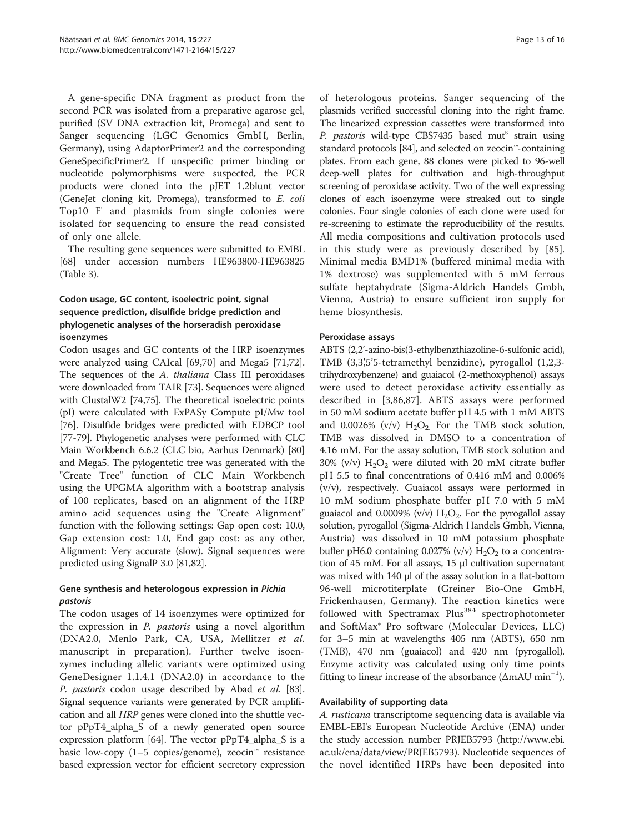A gene-specific DNA fragment as product from the second PCR was isolated from a preparative agarose gel, purified (SV DNA extraction kit, Promega) and sent to Sanger sequencing (LGC Genomics GmbH, Berlin, Germany), using AdaptorPrimer2 and the corresponding GeneSpecificPrimer2. If unspecific primer binding or nucleotide polymorphisms were suspected, the PCR products were cloned into the pJET 1.2blunt vector (GeneJet cloning kit, Promega), transformed to E. coli Top10 F' and plasmids from single colonies were isolated for sequencing to ensure the read consisted of only one allele.

The resulting gene sequences were submitted to EMBL [[68](#page-14-0)] under accession numbers HE963800-HE963825 (Table [3](#page-6-0)).

## Codon usage, GC content, isoelectric point, signal sequence prediction, disulfide bridge prediction and phylogenetic analyses of the horseradish peroxidase isoenzymes

Codon usages and GC contents of the HRP isoenzymes were analyzed using CAIcal [[69](#page-14-0),[70](#page-15-0)] and Mega5 [\[71,72](#page-15-0)]. The sequences of the A. thaliana Class III peroxidases were downloaded from TAIR [[73\]](#page-15-0). Sequences were aligned with ClustalW2 [[74](#page-15-0),[75](#page-15-0)]. The theoretical isoelectric points (pI) were calculated with ExPASy Compute pI/Mw tool [[76](#page-15-0)]. Disulfide bridges were predicted with EDBCP tool [[77](#page-15-0)-[79\]](#page-15-0). Phylogenetic analyses were performed with CLC Main Workbench 6.6.2 (CLC bio, Aarhus Denmark) [[80](#page-15-0)] and Mega5. The pylogentetic tree was generated with the "Create Tree" function of CLC Main Workbench using the UPGMA algorithm with a bootstrap analysis of 100 replicates, based on an alignment of the HRP amino acid sequences using the "Create Alignment" function with the following settings: Gap open cost: 10.0, Gap extension cost: 1.0, End gap cost: as any other, Alignment: Very accurate (slow). Signal sequences were predicted using SignalP 3.0 [\[81,82\]](#page-15-0).

# Gene synthesis and heterologous expression in Pichia pastoris

The codon usages of 14 isoenzymes were optimized for the expression in P. pastoris using a novel algorithm (DNA2.0, Menlo Park, CA, USA, Mellitzer et al. manuscript in preparation). Further twelve isoenzymes including allelic variants were optimized using GeneDesigner 1.1.4.1 (DNA2.0) in accordance to the P. pastoris codon usage described by Abad et al. [[83](#page-15-0)]. Signal sequence variants were generated by PCR amplification and all HRP genes were cloned into the shuttle vector pPpT4\_alpha\_S of a newly generated open source expression platform [[64](#page-14-0)]. The vector pPpT4\_alpha\_S is a basic low-copy (1–5 copies/genome), zeocin<sup>™</sup> resistance based expression vector for efficient secretory expression

of heterologous proteins. Sanger sequencing of the plasmids verified successful cloning into the right frame. The linearized expression cassettes were transformed into P. pastoris wild-type CBS7435 based mut<sup>s</sup> strain using standard protocols [\[84\]](#page-15-0), and selected on zeocin™-containing plates. From each gene, 88 clones were picked to 96-well deep-well plates for cultivation and high-throughput screening of peroxidase activity. Two of the well expressing clones of each isoenzyme were streaked out to single colonies. Four single colonies of each clone were used for re-screening to estimate the reproducibility of the results. All media compositions and cultivation protocols used in this study were as previously described by [\[85](#page-15-0)]. Minimal media BMD1% (buffered minimal media with 1% dextrose) was supplemented with 5 mM ferrous sulfate heptahydrate (Sigma-Aldrich Handels Gmbh, Vienna, Austria) to ensure sufficient iron supply for heme biosynthesis.

#### Peroxidase assays

ABTS (2,2'-azino-bis(3-ethylbenzthiazoline-6-sulfonic acid), TMB (3,3',5'5-tetramethyl benzidine), pyrogallol (1,2,3 trihydroxybenzene) and guaiacol (2-methoxyphenol) assays were used to detect peroxidase activity essentially as described in [\[3](#page-13-0),[86,87\]](#page-15-0). ABTS assays were performed in 50 mM sodium acetate buffer pH 4.5 with 1 mM ABTS and 0.0026% (v/v)  $H_2O_2$ . For the TMB stock solution, TMB was dissolved in DMSO to a concentration of 4.16 mM. For the assay solution, TMB stock solution and 30% (v/v)  $H_2O_2$  were diluted with 20 mM citrate buffer pH 5.5 to final concentrations of 0.416 mM and 0.006% (v/v), respectively. Guaiacol assays were performed in 10 mM sodium phosphate buffer pH 7.0 with 5 mM guaiacol and 0.0009% (v/v)  $H_2O_2$ . For the pyrogallol assay solution, pyrogallol (Sigma-Aldrich Handels Gmbh, Vienna, Austria) was dissolved in 10 mM potassium phosphate buffer pH6.0 containing  $0.027\%$  (v/v)  $H_2O_2$  to a concentration of 45 mM. For all assays, 15 μl cultivation supernatant was mixed with 140 μl of the assay solution in a flat-bottom 96-well microtiterplate (Greiner Bio-One GmbH, Frickenhausen, Germany). The reaction kinetics were followed with Spectramax Plus<sup>384</sup> spectrophotometer and SoftMax® Pro software (Molecular Devices, LLC) for 3–5 min at wavelengths 405 nm (ABTS), 650 nm (TMB), 470 nm (guaiacol) and 420 nm (pyrogallol). Enzyme activity was calculated using only time points fitting to linear increase of the absorbance (ΔmAU min<sup>-1</sup>).

#### Availability of supporting data

A. rusticana transcriptome sequencing data is available via EMBL-EBI's European Nucleotide Archive (ENA) under the study accession number PRJEB5793 ([http://www.ebi.](http://www.ebi.ac.uk/ena/data/view/PRJEB5793) [ac.uk/ena/data/view/PRJEB5793\)](http://www.ebi.ac.uk/ena/data/view/PRJEB5793). Nucleotide sequences of the novel identified HRPs have been deposited into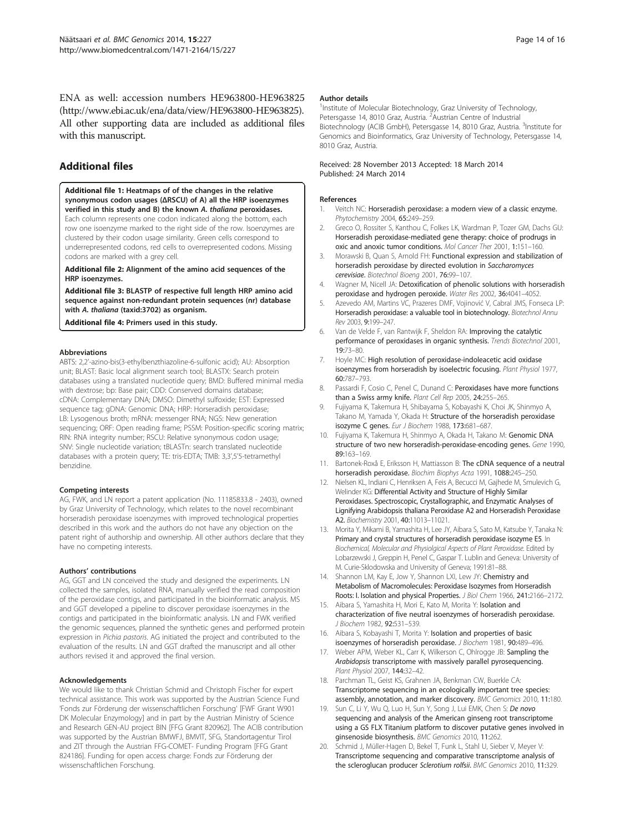<span id="page-13-0"></span>ENA as well: accession numbers HE963800-HE963825 ([http://www.ebi.ac.uk/ena/data/view/HE963800-HE963825\)](http://www.ebi.ac.uk/ena/data/view/HE963800-HE963825). All other supporting data are included as additional files with this manuscript.

# Additional files

[Additional file 1:](http://www.biomedcentral.com/content/supplementary/1471-2164-15-227-S1.pdf) Heatmaps of of the changes in the relative synonymous codon usages (ΔRSCU) of A) all the HRP isoenzymes verified in this study and B) the known A. thaliana peroxidases.

Each column represents one codon indicated along the bottom, each row one isoenzyme marked to the right side of the row. Isoenzymes are clustered by their codon usage similarity. Green cells correspond to underrepresented codons, red cells to overrepresented codons. Missing codons are marked with a grey cell.

[Additional file 2:](http://www.biomedcentral.com/content/supplementary/1471-2164-15-227-S2.pdf) Alignment of the amino acid sequences of the HRP isoenzymes.

[Additional file 3:](http://www.biomedcentral.com/content/supplementary/1471-2164-15-227-S3.pdf) BLASTP of respective full length HRP amino acid sequence against non-redundant protein sequences (nr) database with A. thaliana (taxid:3702) as organism.

[Additional file 4:](http://www.biomedcentral.com/content/supplementary/1471-2164-15-227-S4.pdf) Primers used in this study.

#### Abbreviations

ABTS: 2,2'-azino-bis(3-ethylbenzthiazoline-6-sulfonic acid); AU: Absorption unit; BLAST: Basic local alignment search tool; BLASTX: Search protein databases using a translated nucleotide query; BMD: Buffered minimal media with dextrose; bp: Base pair; CDD: Conserved domains database; cDNA: Complementary DNA; DMSO: Dimethyl sulfoxide; EST: Expressed sequence tag; gDNA: Genomic DNA; HRP: Horseradish peroxidase; LB: Lysogenous broth; mRNA: messenger RNA; NGS: New generation sequencing; ORF: Open reading frame; PSSM: Position-specific scoring matrix; RIN: RNA integrity number; RSCU: Relative synonymous codon usage; SNV: Single nucleotide variation; tBLASTn: search translated nucleotide databases with a protein query; TE: tris-EDTA; TMB: 3,3',5'5-tetramethyl benzidine.

#### Competing interests

AG, FWK, and LN report a patent application (No. 11185833.8 - 2403), owned by Graz University of Technology, which relates to the novel recombinant horseradish peroxidase isoenzymes with improved technological properties described in this work and the authors do not have any objection on the patent right of authorship and ownership. All other authors declare that they have no competing interests.

#### Authors' contributions

AG, GGT and LN conceived the study and designed the experiments. LN collected the samples, isolated RNA, manually verified the read composition of the peroxidase contigs, and participated in the bioinformatic analysis. MS and GGT developed a pipeline to discover peroxidase isoenzymes in the contigs and participated in the bioinformatic analysis. LN and FWK verified the genomic sequences, planned the synthetic genes and performed protein expression in Pichia pastoris. AG initiated the project and contributed to the evaluation of the results. LN and GGT drafted the manuscript and all other authors revised it and approved the final version.

#### Acknowledgements

We would like to thank Christian Schmid and Christoph Fischer for expert technical assistance. This work was supported by the Austrian Science Fund 'Fonds zur Förderung der wissenschaftlichen Forschung' [FWF Grant W901 DK Molecular Enzymology] and in part by the Austrian Ministry of Science and Research GEN-AU project BIN [FFG Grant 820962]. The ACIB contribution was supported by the Austrian BMWFJ, BMVIT, SFG, Standortagentur Tirol and ZIT through the Austrian FFG-COMET- Funding Program [FFG Grant 824186]. Funding for open access charge: Fonds zur Förderung der wissenschaftlichen Forschung.

# Author details

<sup>1</sup>Institute of Molecular Biotechnology, Graz University of Technology, Petersgasse 14, 8010 Graz, Austria. <sup>2</sup>Austrian Centre of Industrial Biotechnology (ACIB GmbH), Petersgasse 14, 8010 Graz, Austria. <sup>3</sup>Institute for Genomics and Bioinformatics, Graz University of Technology, Petersgasse 14, 8010 Graz, Austria.

#### Received: 28 November 2013 Accepted: 18 March 2014 Published: 24 March 2014

#### References

- 1. Veitch NC: Horseradish peroxidase: a modern view of a classic enzyme. Phytochemistry 2004, 65:249–259.
- 2. Greco O, Rossiter S, Kanthou C, Folkes LK, Wardman P, Tozer GM, Dachs GU: Horseradish peroxidase-mediated gene therapy: choice of prodrugs in oxic and anoxic tumor conditions. Mol Cancer Ther 2001, 1:151–160.
- 3. Morawski B, Quan S, Arnold FH: Functional expression and stabilization of horseradish peroxidase by directed evolution in Saccharomyces cerevisiae. Biotechnol Bioeng 2001, 76:99–107.
- 4. Wagner M, Nicell JA: Detoxification of phenolic solutions with horseradish peroxidase and hydrogen peroxide. Water Res 2002, 36:4041–4052.
- 5. Azevedo AM, Martins VC, Prazeres DMF, Vojinović V, Cabral JMS, Fonseca LP: Horseradish peroxidase: a valuable tool in biotechnology. Biotechnol Annu Rev 2003, 9:199–247.
- 6. Van de Velde F, van Rantwijk F, Sheldon RA: Improving the catalytic performance of peroxidases in organic synthesis. Trends Biotechnol 2001, 19:73–80.
- 7. Hoyle MC: High resolution of peroxidase-indoleacetic acid oxidase isoenzymes from horseradish by isoelectric focusing. Plant Physiol 1977, 60:787–793.
- 8. Passardi F, Cosio C, Penel C, Dunand C: Peroxidases have more functions than a Swiss army knife. Plant Cell Rep 2005, 24:255-265.
- 9. Fujiyama K, Takemura H, Shibayama S, Kobayashi K, Choi JK, Shinmyo A, Takano M, Yamada Y, Okada H: Structure of the horseradish peroxidase isozyme C genes. Eur J Biochem 1988, 173:681–687.
- 10. Fujiyama K, Takemura H, Shinmyo A, Okada H, Takano M: Genomic DNA structure of two new horseradish-peroxidase-encoding genes. Gene 1990, 89:163–169.
- 11. Bartonek-Roxå E, Eriksson H, Mattiasson B: The cDNA sequence of a neutral horseradish peroxidase. Biochim Biophys Acta 1991, 1088:245–250.
- 12. Nielsen KL, Indiani C, Henriksen A, Feis A, Becucci M, Gajhede M, Smulevich G, Welinder KG: Differential Activity and Structure of Highly Similar Peroxidases. Spectroscopic, Crystallographic, and Enzymatic Analyses of Lignifying Arabidopsis thaliana Peroxidase A2 and Horseradish Peroxidase A2. Biochemistry 2001, 40:11013–11021.
- 13. Morita Y, Mikami B, Yamashita H, Lee JY, Aibara S, Sato M, Katsube Y, Tanaka N: Primary and crystal structures of horseradish peroxidase isozyme E5. In Biochemical, Molecular and Physiolgical Aspects of Plant Peroxidase. Edited by Lobarzewski J, Greppin H, Penel C, Gaspar T. Lublin and Geneva: University of M. Curie-Sklodowska and University of Geneva; 1991:81–88.
- 14. Shannon LM, Kay E, Jow Y, Shannon LXI, Lew JY: Chemistry and Metabolism of Macromolecules: Peroxidase Isozymes from Horseradish Roots: I. Isolation and physical Properties. J Biol Chem 1966, 241:2166-2172.
- 15. Aibara S, Yamashita H, Mori E, Kato M, Morita Y: Isolation and characterization of five neutral isoenzymes of horseradish peroxidase. J Biochem 1982, 92:531–539.
- 16. Aibara S, Kobayashi T, Morita Y: Isolation and properties of basic isoenzymes of horseradish peroxidase. J Biochem 1981, 90:489–496.
- 17. Weber APM, Weber KL, Carr K, Wilkerson C, Ohlrogge JB: Sampling the Arabidopsis transcriptome with massively parallel pyrosequencing. Plant Physiol 2007, 144:32–42.
- 18. Parchman TL, Geist KS, Grahnen JA, Benkman CW, Buerkle CA: Transcriptome sequencing in an ecologically important tree species: assembly, annotation, and marker discovery. BMC Genomics 2010, 11:180.
- 19. Sun C, Li Y, Wu Q, Luo H, Sun Y, Song J, Lui EMK, Chen S: De novo sequencing and analysis of the American ginseng root transcriptome using a GS FLX Titanium platform to discover putative genes involved in ginsenoside biosynthesis. BMC Genomics 2010, 11:262.
- 20. Schmid J, Müller-Hagen D, Bekel T, Funk L, Stahl U, Sieber V, Meyer V: Transcriptome sequencing and comparative transcriptome analysis of the scleroglucan producer Sclerotium rolfsii. BMC Genomics 2010, 11:329.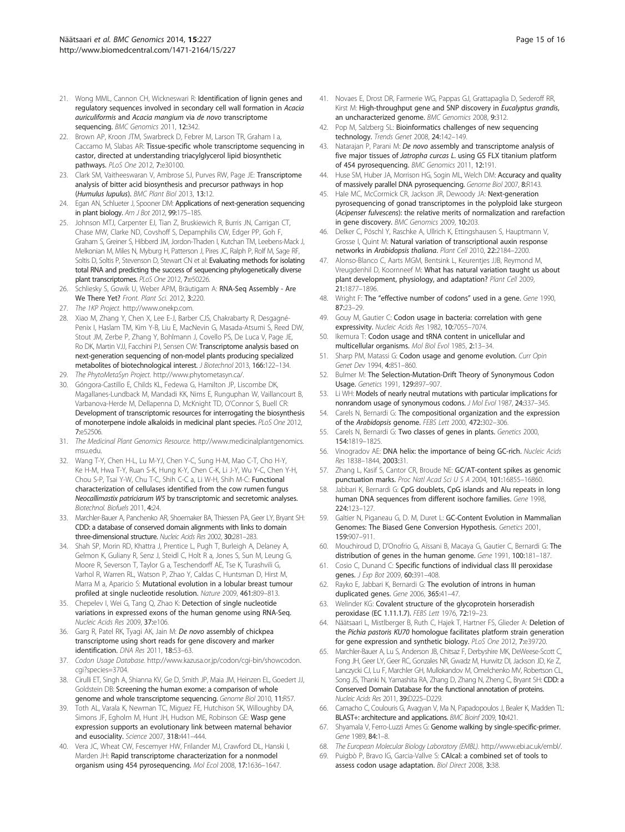- <span id="page-14-0"></span>21. Wong MML, Cannon CH, Wickneswari R: Identification of lignin genes and regulatory sequences involved in secondary cell wall formation in Acacia auriculiformis and Acacia mangium via de novo transcriptome sequencing. BMC Genomics 2011, 12:342.
- 22. Brown AP, Kroon JTM, Swarbreck D, Febrer M, Larson TR, Graham I a, Caccamo M, Slabas AR: Tissue-specific whole transcriptome sequencing in castor, directed at understanding triacylglycerol lipid biosynthetic pathways. PLoS One 2012, 7:e30100.
- 23. Clark SM, Vaitheeswaran V, Ambrose SJ, Purves RW, Page JE: Transcriptome analysis of bitter acid biosynthesis and precursor pathways in hop (Humulus lupulus). BMC Plant Biol 2013, 13:12.
- 24. Egan AN, Schlueter J, Spooner DM: Applications of next-generation sequencing in plant biology. Am J Bot 2012, 99:175–185.
- 25. Johnson MTJ, Carpenter EJ, Tian Z, Bruskiewich R, Burris JN, Carrigan CT, Chase MW, Clarke ND, Covshoff S, Depamphilis CW, Edger PP, Goh F, Graham S, Greiner S, Hibberd JM, Jordon-Thaden I, Kutchan TM, Leebens-Mack J, Melkonian M, Miles N, Myburg H, Patterson J, Pires JC, Ralph P, Rolf M, Sage RF, Soltis D, Soltis P, Stevenson D, Stewart CN et al: Evaluating methods for isolating total RNA and predicting the success of sequencing phylogenetically diverse plant transcriptomes. PLoS One 2012, 7:e50226.
- 26. Schliesky S, Gowik U, Weber APM, Bräutigam A: RNA-Seq Assembly Are We There Yet? Front. Plant Sci. 2012, 3:220.
- 27. The 1KP Project. <http://www.onekp.com>.
- 28. Xiao M, Zhang Y, Chen X, Lee E-J, Barber CJS, Chakrabarty R, Desgagné-Penix I, Haslam TM, Kim Y-B, Liu E, MacNevin G, Masada-Atsumi S, Reed DW, Stout JM, Zerbe P, Zhang Y, Bohlmann J, Covello PS, De Luca V, Page JE, Ro DK, Martin VJJ, Facchini PJ, Sensen CW: Transcriptome analysis based on next-generation sequencing of non-model plants producing specialized metabolites of biotechnological interest. J Biotechnol 2013, 166:122–134.
- 29. The PhytoMetaSyn Project. <http://www.phytometasyn.ca/>.
- 30. Góngora-Castillo E, Childs KL, Fedewa G, Hamilton JP, Liscombe DK, Magallanes-Lundback M, Mandadi KK, Nims E, Runguphan W, Vaillancourt B, Varbanova-Herde M, Dellapenna D, McKnight TD, O'Connor S, Buell CR: Development of transcriptomic resources for interrogating the biosynthesis of monoterpene indole alkaloids in medicinal plant species. PLoS One 2012, 7:e52506.
- 31. The Medicinal Plant Genomics Resource. [http://www.medicinalplantgenomics.](http://www.medicinalplantgenomics.msu.edu) [msu.edu.](http://www.medicinalplantgenomics.msu.edu)
- 32. Wang T-Y, Chen H-L, Lu M-YJ, Chen Y-C, Sung H-M, Mao C-T, Cho H-Y, Ke H-M, Hwa T-Y, Ruan S-K, Hung K-Y, Chen C-K, Li J-Y, Wu Y-C, Chen Y-H, Chou S-P, Tsai Y-W, Chu T-C, Shih C-C a, Li W-H, Shih M-C: Functional characterization of cellulases identified from the cow rumen fungus Neocallimastix patriciarum W5 by transcriptomic and secretomic analyses. Biotechnol. Biofuels 2011, 4:24.
- 33. Marchler-Bauer A, Panchenko AR, Shoemaker BA, Thiessen PA, Geer LY, Bryant SH: CDD: a database of conserved domain alignments with links to domain three-dimensional structure. Nucleic Acids Res 2002, 30:281–283.
- 34. Shah SP, Morin RD, Khattra J, Prentice L, Pugh T, Burleigh A, Delaney A, Gelmon K, Guliany R, Senz J, Steidl C, Holt R a, Jones S, Sun M, Leung G, Moore R, Severson T, Taylor G a, Teschendorff AE, Tse K, Turashvili G, Varhol R, Warren RL, Watson P, Zhao Y, Caldas C, Huntsman D, Hirst M, Marra M a, Aparicio S: Mutational evolution in a lobular breast tumour profiled at single nucleotide resolution. Nature 2009, 461:809–813.
- 35. Chepelev I, Wei G, Tang Q, Zhao K: Detection of single nucleotide variations in expressed exons of the human genome using RNA-Seq. Nucleic Acids Res 2009, 37:e106.
- 36. Garg R, Patel RK, Tyagi AK, Jain M: De novo assembly of chickpea transcriptome using short reads for gene discovery and marker identification. DNA Res 2011, 18:53–63.
- 37. Codon Usage Database. [http://www.kazusa.or.jp/codon/cgi-bin/showcodon.](http://www.kazusa.or.jp/codon/cgi-bin/showcodon.cgi?species=3704) [cgi?species=3704](http://www.kazusa.or.jp/codon/cgi-bin/showcodon.cgi?species=3704).
- 38. Cirulli ET, Singh A, Shianna KV, Ge D, Smith JP, Maia JM, Heinzen EL, Goedert JJ, Goldstein DB: Screening the human exome: a comparison of whole genome and whole transcriptome sequencing. Genome Biol 2010, 11:R57.
- 39. Toth AL, Varala K, Newman TC, Miguez FE, Hutchison SK, Willoughby DA, Simons JF, Egholm M, Hunt JH, Hudson ME, Robinson GE: Wasp gene expression supports an evolutionary link between maternal behavior and eusociality. Science 2007, 318:441–444.
- 40. Vera JC, Wheat CW, Fescemyer HW, Frilander MJ, Crawford DL, Hanski I, Marden JH: Rapid transcriptome characterization for a nonmodel organism using 454 pyrosequencing. Mol Ecol 2008, 17:1636–1647.
- 41. Novaes E, Drost DR, Farmerie WG, Pappas GJ, Grattapaglia D, Sederoff RR, Kirst M: High-throughput gene and SNP discovery in Eucalyptus grandis, an uncharacterized genome. BMC Genomics 2008, 9:312.
- 42. Pop M, Salzberg SL: Bioinformatics challenges of new sequencing technology. Trends Genet 2008, 24:142–149.
- 43. Natarajan P, Parani M: De novo assembly and transcriptome analysis of five major tissues of Jatropha curcas L. using GS FLX titanium platform of 454 pyrosequencing. BMC Genomics 2011, 12:191.
- 44. Huse SM, Huber JA, Morrison HG, Sogin ML, Welch DM: Accuracy and quality of massively parallel DNA pyrosequencing. Genome Biol 2007, 8:R143.
- Hale MC, McCormick CR, Jackson JR, Dewoody JA: Next-generation pyrosequencing of gonad transcriptomes in the polyploid lake sturgeon (Acipenser fulvescens): the relative merits of normalization and rarefaction in gene discovery. BMC Genomics 2009, 10:203.
- 46. Delker C, Pöschl Y, Raschke A, Ullrich K, Ettingshausen S, Hauptmann V, Grosse I, Quint M: Natural variation of transcriptional auxin response networks in Arabidopsis thaliana. Plant Cell 2010, 22:2184–2200.
- 47. Alonso-Blanco C, Aarts MGM, Bentsink L, Keurentjes JJB, Reymond M, Vreugdenhil D, Koornneef M: What has natural variation taught us about plant development, physiology, and adaptation? Plant Cell 2009, 21:1877–1896.
- 48. Wright F: The "effective number of codons" used in a gene. Gene 1990, 87:23–29.
- 49. Gouy M, Gautier C: Codon usage in bacteria: correlation with gene expressivity. Nucleic Acids Res 1982, 10:7055–7074.
- 50. Ikemura T: Codon usage and tRNA content in unicellular and multicellular organisms. Mol Biol Evol 1985, 2:13–34.
- 51. Sharp PM, Matassi G: Codon usage and genome evolution. Curr Opin Genet Dev 1994, 4:851–860.
- 52. Bulmer M: The Selection-Mutation-Drift Theory of Synonymous Codon Usage. Genetics 1991, 129:897–907.
- 53. Li WH: Models of nearly neutral mutations with particular implications for nonrandom usage of synonymous codons. J Mol Evol 1987, 24:337–345.
- Carels N, Bernardi G: The compositional organization and the expression of the Arabidopsis genome. FEBS Lett 2000, 472:302–306.
- 55. Carels N, Bernardi G: Two classes of genes in plants. Genetics 2000, 154:1819–1825.
- 56. Vinogradov AE: DNA helix: the importance of being GC-rich. Nucleic Acids Res 1838–1844, 2003:31.
- 57. Zhang L, Kasif S, Cantor CR, Broude NE: GC/AT-content spikes as genomic punctuation marks. Proc Natl Acad Sci U S A 2004, 101:16855-16860.
- 58. Jabbari K, Bernardi G: CpG doublets, CpG islands and Alu repeats in long human DNA sequences from different isochore families. Gene 1998, 224:123–127.
- 59. Galtier N, Piganeau G, D. M, Duret L: GC-Content Evolution in Mammalian Genomes: The Biased Gene Conversion Hypothesis. Genetics 2001, 159:907–911.
- 60. Mouchiroud D, D'Onofrio G, Aïssani B, Macaya G, Gautier C, Bernardi G: The distribution of genes in the human genome. Gene 1991, 100:181–187.
- 61. Cosio C, Dunand C: Specific functions of individual class III peroxidase genes. J Exp Bot 2009, 60:391–408.
- 62. Rayko E, Jabbari K, Bernardi G: The evolution of introns in human duplicated genes. Gene 2006, 365:41–47.
- 63. Welinder KG: Covalent structure of the glycoprotein horseradish peroxidase (EC 1.11.1.7). FEBS Lett 1976, 72:19–23.
- 64. Näätsaari L, Mistlberger B, Ruth C, Hajek T, Hartner FS, Glieder A: Deletion of the Pichia pastoris KU70 homologue facilitates platform strain generation for gene expression and synthetic biology. PLoS One 2012, 7:e39720.
- 65. Marchler-Bauer A, Lu S, Anderson JB, Chitsaz F, Derbyshire MK, DeWeese-Scott C, Fong JH, Geer LY, Geer RC, Gonzales NR, Gwadz M, Hurwitz DI, Jackson JD, Ke Z, Lanczycki CJ, Lu F, Marchler GH, Mullokandov M, Omelchenko MV, Robertson CL, Song JS, Thanki N, Yamashita RA, Zhang D, Zhang N, Zheng C, Bryant SH: CDD: a Conserved Domain Database for the functional annotation of proteins. Nucleic Acids Res 2011, 39:D225–D229.
- 66. Camacho C, Coulouris G, Avagyan V, Ma N, Papadopoulos J, Bealer K, Madden TL: BLAST+: architecture and applications. BMC Bioinf 2009, 10:421.
- 67. Shyamala V, Ferro-Luzzi Ames G: Genome walking by single-specific-primer. Gene 1989, 84:1–8.
- 68. The European Molecular Biology Laboratory (EMBL). <http://www.ebi.ac.uk/embl/>.
- 69. Puigbò P, Bravo IG, Garcia-Vallve S: CAIcal: a combined set of tools to assess codon usage adaptation. Biol Direct 2008, 3:38.